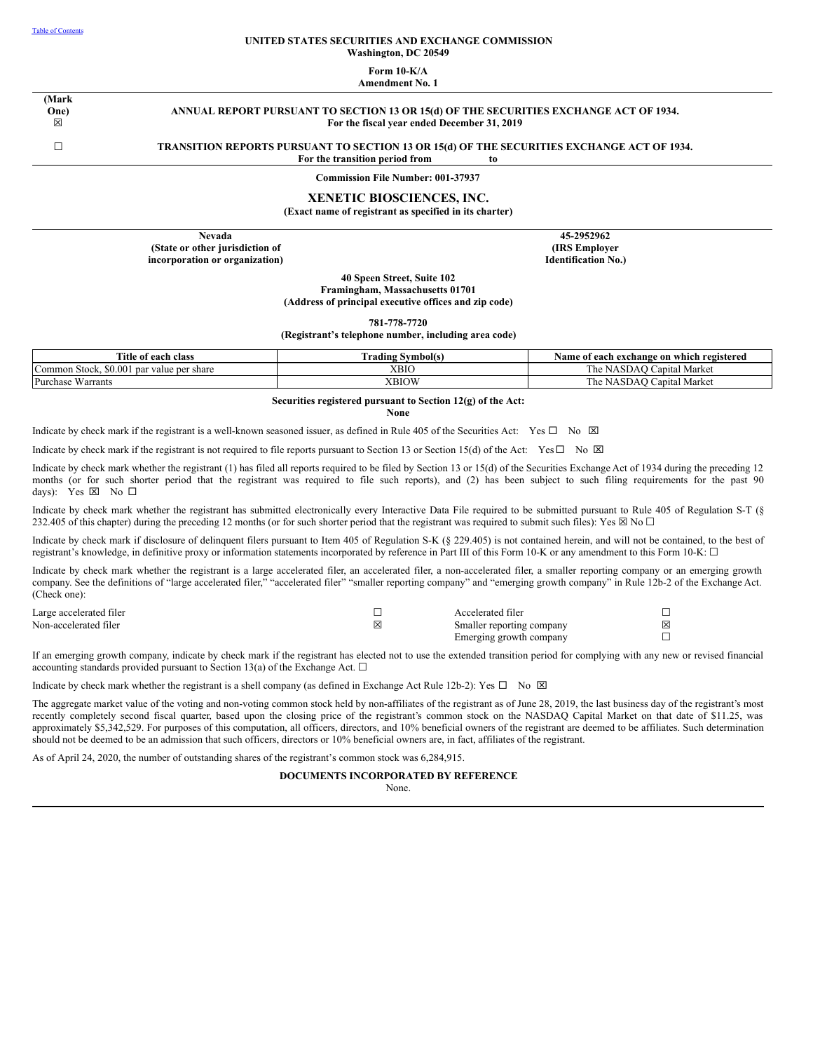#### **UNITED STATES SECURITIES AND EXCHANGE COMMISSION Washington, DC 20549**

#### **Form 10-K/A Amendment No. 1**

**(Mark One)** ☒

**ANNUAL REPORT PURSUANT TO SECTION 13 OR 15(d) OF THE SECURITIES EXCHANGE ACT OF 1934. For the fiscal year ended December 31, 2019**

# ☐ **TRANSITION REPORTS PURSUANT TO SECTION 13 OR 15(d) OF THE SECURITIES EXCHANGE ACT OF 1934.**

**For the transition period from to**

**Commission File Number: 001-37937**

# **XENETIC BIOSCIENCES, INC.**

**(Exact name of registrant as specified in its charter)**

**Nevada (State or other jurisdiction of incorporation or organization)**

**45-2952962 (IRS Employer Identification No.)**

**40 Speen Street, Suite 102 Framingham, Massachusetts 01701 (Address of principal executive offices and zip code)**

**781-778-7720**

**(Registrant's telephone number, including area code)**

| <b>Title</b><br>of each class :                                     | Symbol(s)<br>rading | e of each exchange on which registered<br>Name         |
|---------------------------------------------------------------------|---------------------|--------------------------------------------------------|
| \$0.001<br>$\sim$<br>ICommon Stock.<br>value per s.<br>share<br>par | XBIC                | $\sim$<br>  Market<br>⊇apıtal<br>l he<br>adau i<br>NA. |
| Purchase<br>Warrants                                                | XBIOW               | Market<br>⊇apıtal<br>l he<br>5DAO (<br>NA.             |

# **Securities registered pursuant to Section 12(g) of the Act:**

**None**

Indicate by check mark if the registrant is a well-known seasoned issuer, as defined in Rule 405 of the Securities Act: Yes  $\Box$  No  $\boxtimes$ 

Indicate by check mark if the registrant is not required to file reports pursuant to Section 13 or Section 15(d) of the Act: Yes  $\Box$  No  $\boxtimes$ 

Indicate by check mark whether the registrant (1) has filed all reports required to be filed by Section 13 or 15(d) of the Securities Exchange Act of 1934 during the preceding 12 months (or for such shorter period that the registrant was required to file such reports), and (2) has been subject to such filing requirements for the past 90 days): Yes  $\boxtimes$  No  $\square$ 

Indicate by check mark whether the registrant has submitted electronically every Interactive Data File required to be submitted pursuant to Rule 405 of Regulation S-T (§ 232.405 of this chapter) during the preceding 12 months (or for such shorter period that the registrant was required to submit such files): Yes  $\boxtimes$  No  $\Box$ 

Indicate by check mark if disclosure of delinquent filers pursuant to Item 405 of Regulation S-K (§ 229.405) is not contained herein, and will not be contained, to the best of registrant's knowledge, in definitive proxy or information statements incorporated by reference in Part III of this Form 10-K or any amendment to this Form 10-K: □

Indicate by check mark whether the registrant is a large accelerated filer, an accelerated filer, a non-accelerated filer, a smaller reporting company or an emerging growth company. See the definitions of "large accelerated filer," "accelerated filer" "smaller reporting company" and "emerging growth company" in Rule 12b-2 of the Exchange Act. (Check one):

| Large accelerated filer |     | Accelerated filer         |  |
|-------------------------|-----|---------------------------|--|
| Non-accelerated filer   | Ι×Ι | Smaller reporting company |  |
|                         |     | Emerging growth company   |  |

If an emerging growth company, indicate by check mark if the registrant has elected not to use the extended transition period for complying with any new or revised financial accounting standards provided pursuant to Section 13(a) of the Exchange Act.  $\Box$ 

Indicate by check mark whether the registrant is a shell company (as defined in Exchange Act Rule 12b-2): Yes  $\Box$  No  $\boxtimes$ 

The aggregate market value of the voting and non-voting common stock held by non-affiliates of the registrant as of June 28, 2019, the last business day of the registrant's most recently completely second fiscal quarter, based upon the closing price of the registrant's common stock on the NASDAQ Capital Market on that date of \$11.25, was approximately \$5,342,529. For purposes of this computation, all officers, directors, and 10% beneficial owners of the registrant are deemed to be affiliates. Such determination should not be deemed to be an admission that such officers, directors or 10% beneficial owners are, in fact, affiliates of the registrant.

As of April 24, 2020, the number of outstanding shares of the registrant's common stock was 6,284,915.

# **DOCUMENTS INCORPORATED BY REFERENCE**

None.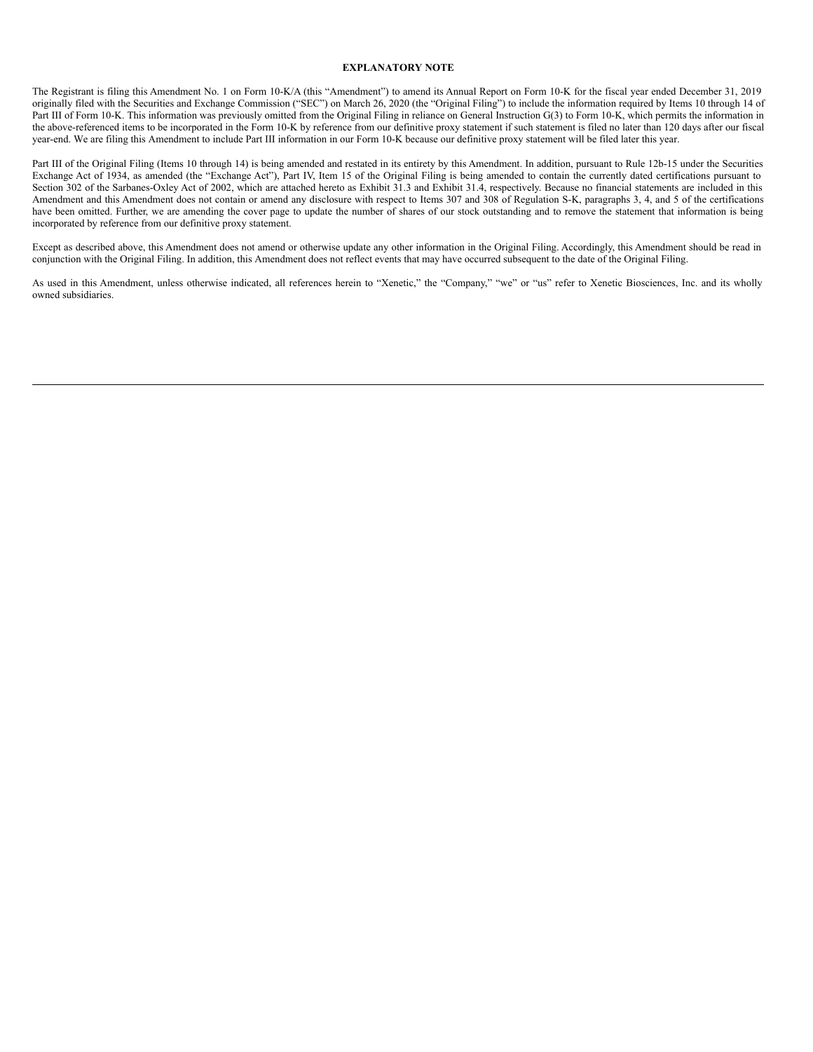# **EXPLANATORY NOTE**

The Registrant is filing this Amendment No. 1 on Form 10-K/A (this "Amendment") to amend its Annual Report on Form 10-K for the fiscal year ended December 31, 2019 originally filed with the Securities and Exchange Commission ("SEC") on March 26, 2020 (the "Original Filing") to include the information required by Items 10 through 14 of Part III of Form 10-K. This information was previously omitted from the Original Filing in reliance on General Instruction G(3) to Form 10-K, which permits the information in the above-referenced items to be incorporated in the Form 10-K by reference from our definitive proxy statement if such statement is filed no later than 120 days after our fiscal year-end. We are filing this Amendment to include Part III information in our Form 10-K because our definitive proxy statement will be filed later this year.

Part III of the Original Filing (Items 10 through 14) is being amended and restated in its entirety by this Amendment. In addition, pursuant to Rule 12b-15 under the Securities Exchange Act of 1934, as amended (the "Exchange Act"), Part IV, Item 15 of the Original Filing is being amended to contain the currently dated certifications pursuant to Section 302 of the Sarbanes-Oxley Act of 2002, which are attached hereto as Exhibit 31.3 and Exhibit 31.4, respectively. Because no financial statements are included in this Amendment and this Amendment does not contain or amend any disclosure with respect to Items 307 and 308 of Regulation S-K, paragraphs 3, 4, and 5 of the certifications have been omitted. Further, we are amending the cover page to update the number of shares of our stock outstanding and to remove the statement that information is being incorporated by reference from our definitive proxy statement.

Except as described above, this Amendment does not amend or otherwise update any other information in the Original Filing. Accordingly, this Amendment should be read in conjunction with the Original Filing. In addition, this Amendment does not reflect events that may have occurred subsequent to the date of the Original Filing.

As used in this Amendment, unless otherwise indicated, all references herein to "Xenetic," the "Company," "we" or "us" refer to Xenetic Biosciences, Inc. and its wholly owned subsidiaries.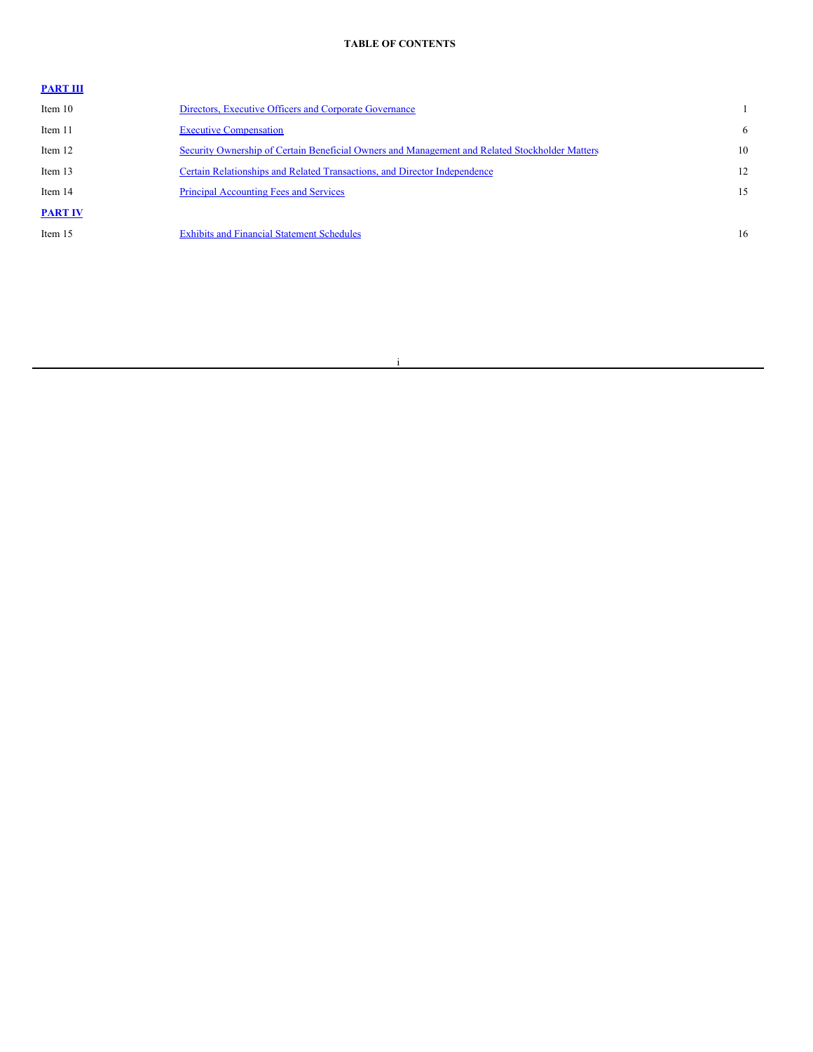# <span id="page-2-0"></span>**TABLE OF CONTENTS**

| <b>PART III</b> |                                                                                                |    |
|-----------------|------------------------------------------------------------------------------------------------|----|
| Item 10         | Directors, Executive Officers and Corporate Governance                                         |    |
| Item 11         | <b>Executive Compensation</b>                                                                  | 6  |
| Item 12         | Security Ownership of Certain Beneficial Owners and Management and Related Stockholder Matters | 10 |
| Item 13         | Certain Relationships and Related Transactions, and Director Independence                      | 12 |
| Item 14         | <b>Principal Accounting Fees and Services</b>                                                  | 15 |
| <b>PART IV</b>  |                                                                                                |    |
| Item 15         | <b>Exhibits and Financial Statement Schedules</b>                                              | 16 |
|                 |                                                                                                |    |

# i

<u> 1989 - Johann Barn, mars ann an t-</u>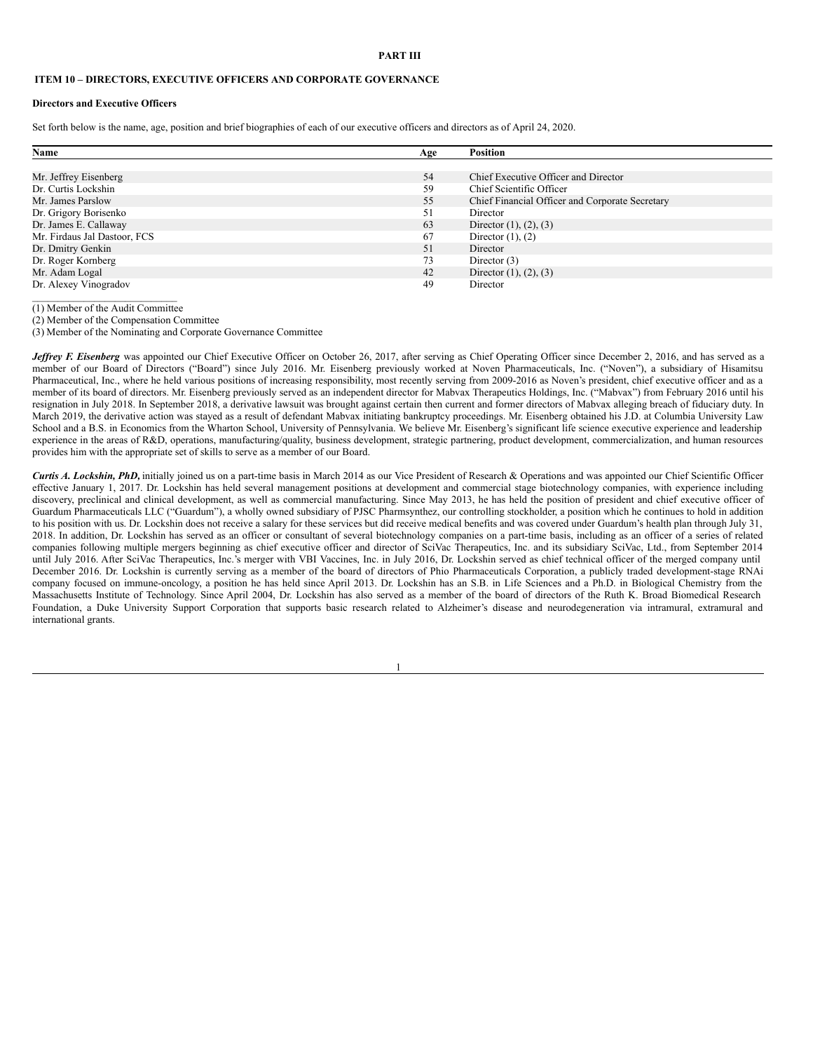#### <span id="page-3-0"></span>**PART III**

# <span id="page-3-1"></span>**ITEM 10 – DIRECTORS, EXECUTIVE OFFICERS AND CORPORATE GOVERNANCE**

#### **Directors and Executive Officers**

Set forth below is the name, age, position and brief biographies of each of our executive officers and directors as of April 24, 2020.

| Name                         |     | <b>Position</b>                                 |
|------------------------------|-----|-------------------------------------------------|
|                              | Age |                                                 |
|                              |     |                                                 |
| Mr. Jeffrey Eisenberg        | 54  | Chief Executive Officer and Director            |
| Dr. Curtis Lockshin          | 59  | Chief Scientific Officer                        |
| Mr. James Parslow            | 55  | Chief Financial Officer and Corporate Secretary |
| Dr. Grigory Borisenko        | 51  | Director                                        |
| Dr. James E. Callaway        | 63  | Director $(1)$ , $(2)$ , $(3)$                  |
| Mr. Firdaus Jal Dastoor, FCS | 67  | Director $(1)$ , $(2)$                          |
| Dr. Dmitry Genkin            | 51  | Director                                        |
| Dr. Roger Kornberg           | 73  | Director $(3)$                                  |
| Mr. Adam Logal               | 42  | Director $(1)$ , $(2)$ , $(3)$                  |
| Dr. Alexey Vinogradov        | 49  | Director                                        |

\_\_\_\_\_\_\_\_\_\_\_\_\_\_\_\_\_\_\_\_\_\_\_\_\_\_\_\_ (1) Member of the Audit Committee

(2) Member of the Compensation Committee

(3) Member of the Nominating and Corporate Governance Committee

*Jeffrey F. Eisenberg* was appointed our Chief Executive Officer on October 26, 2017, after serving as Chief Operating Officer since December 2, 2016, and has served as a member of our Board of Directors ("Board") since July 2016. Mr. Eisenberg previously worked at Noven Pharmaceuticals, Inc. ("Noven"), a subsidiary of Hisamitsu Pharmaceutical, Inc., where he held various positions of increasing responsibility, most recently serving from 2009-2016 as Noven's president, chief executive officer and as a member of its board of directors. Mr. Eisenberg previously served as an independent director for Mabvax Therapeutics Holdings, Inc. ("Mabvax") from February 2016 until his resignation in July 2018. In September 2018, a derivative lawsuit was brought against certain then current and former directors of Mabvax alleging breach of fiduciary duty. In March 2019, the derivative action was stayed as a result of defendant Mabvax initiating bankruptcy proceedings. Mr. Eisenberg obtained his J.D. at Columbia University Law School and a B.S. in Economics from the Wharton School, University of Pennsylvania. We believe Mr. Eisenberg's significant life science executive experience and leadership experience in the areas of R&D, operations, manufacturing/quality, business development, strategic partnering, product development, commercialization, and human resources provides him with the appropriate set of skills to serve as a member of our Board.

*Curtis A. Lockshin, PhD,* initially joined us on a part-time basis in March 2014 as our Vice President of Research & Operations and was appointed our Chief Scientific Officer effective January 1, 2017. Dr. Lockshin has held several management positions at development and commercial stage biotechnology companies, with experience including discovery, preclinical and clinical development, as well as commercial manufacturing. Since May 2013, he has held the position of president and chief executive officer of Guardum Pharmaceuticals LLC ("Guardum"), a wholly owned subsidiary of PJSC Pharmsynthez, our controlling stockholder, a position which he continues to hold in addition to his position with us. Dr. Lockshin does not receive a salary for these services but did receive medical benefits and was covered under Guardum's health plan through July 31, 2018. In addition, Dr. Lockshin has served as an officer or consultant of several biotechnology companies on a part-time basis, including as an officer of a series of related companies following multiple mergers beginning as chief executive officer and director of SciVac Therapeutics, Inc. and its subsidiary SciVac, Ltd., from September 2014 until July 2016. After SciVac Therapeutics, Inc.'s merger with VBI Vaccines, Inc. in July 2016, Dr. Lockshin served as chief technical officer of the merged company until December 2016. Dr. Lockshin is currently serving as a member of the board of directors of Phio Pharmaceuticals Corporation, a publicly traded development-stage RNAi company focused on immune-oncology, a position he has held since April 2013. Dr. Lockshin has an S.B. in Life Sciences and a Ph.D. in Biological Chemistry from the Massachusetts Institute of Technology. Since April 2004, Dr. Lockshin has also served as a member of the board of directors of the Ruth K. Broad Biomedical Research Foundation, a Duke University Support Corporation that supports basic research related to Alzheimer's disease and neurodegeneration via intramural, extramural and international grants.

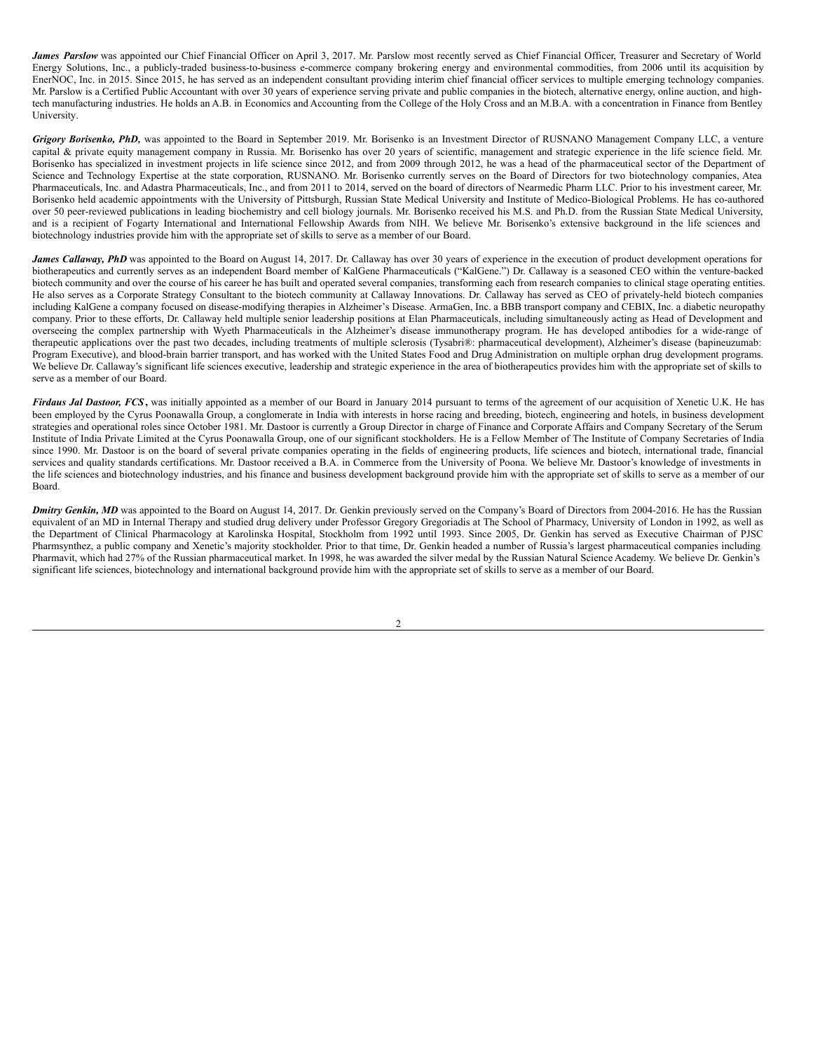James Parslow was appointed our Chief Financial Officer on April 3, 2017. Mr. Parslow most recently served as Chief Financial Officer, Treasurer and Secretary of World Energy Solutions, Inc., a publicly-traded business-to-business e-commerce company brokering energy and environmental commodities, from 2006 until its acquisition by EnerNOC, Inc. in 2015. Since 2015, he has served as an independent consultant providing interim chief financial officer services to multiple emerging technology companies. Mr. Parslow is a Certified Public Accountant with over 30 years of experience serving private and public companies in the biotech, alternative energy, online auction, and hightech manufacturing industries. He holds an A.B. in Economics and Accounting from the College of the Holy Cross and an M.B.A. with a concentration in Finance from Bentley University.

*Grigory Borisenko, PhD,* was appointed to the Board in September 2019. Mr. Borisenko is an Investment Director of RUSNANO Management Company LLC, a venture capital & private equity management company in Russia. Mr. Borisenko has over 20 years of scientific, management and strategic experience in the life science field. Mr. Borisenko has specialized in investment projects in life science since 2012, and from 2009 through 2012, he was a head of the pharmaceutical sector of the Department of Science and Technology Expertise at the state corporation, RUSNANO. Mr. Borisenko currently serves on the Board of Directors for two biotechnology companies, Atea Pharmaceuticals, Inc. and Adastra Pharmaceuticals, Inc., and from 2011 to 2014, served on the board of directors of Nearmedic Pharm LLC. Prior to his investment career, Mr. Borisenko held academic appointments with the University of Pittsburgh, Russian State Medical University and Institute of Medico-Biological Problems. He has co-authored over 50 peer-reviewed publications in leading biochemistry and cell biology journals. Mr. Borisenko received his M.S. and Ph.D. from the Russian State Medical University, and is a recipient of Fogarty International and International Fellowship Awards from NIH. We believe Mr. Borisenko's extensive background in the life sciences and biotechnology industries provide him with the appropriate set of skills to serve as a member of our Board.

*James Callaway, PhD* was appointed to the Board on August 14, 2017. Dr. Callaway has over 30 years of experience in the execution of product development operations for biotherapeutics and currently serves as an independent Board member of KalGene Pharmaceuticals ("KalGene.") Dr. Callaway is a seasoned CEO within the venture-backed biotech community and over the course of his career he has built and operated several companies, transforming each from research companies to clinical stage operating entities. He also serves as a Corporate Strategy Consultant to the biotech community at Callaway Innovations. Dr. Callaway has served as CEO of privately-held biotech companies including KalGene a company focused on disease-modifying therapies in Alzheimer's Disease. ArmaGen, Inc. a BBB transport company and CEBIX, Inc. a diabetic neuropathy company. Prior to these efforts, Dr. Callaway held multiple senior leadership positions at Elan Pharmaceuticals, including simultaneously acting as Head of Development and overseeing the complex partnership with Wyeth Pharmaceuticals in the Alzheimer's disease immunotherapy program. He has developed antibodies for a wide-range of therapeutic applications over the past two decades, including treatments of multiple sclerosis (Tysabri®: pharmaceutical development), Alzheimer's disease (bapineuzumab: Program Executive), and blood-brain barrier transport, and has worked with the United States Food and Drug Administration on multiple orphan drug development programs. We believe Dr. Callaway's significant life sciences executive, leadership and strategic experience in the area of biotherapeutics provides him with the appropriate set of skills to serve as a member of our Board.

*Firdaus Jal Dastoor, FCS***,** was initially appointed as a member of our Board in January 2014 pursuant to terms of the agreement of our acquisition of Xenetic U.K. He has been employed by the Cyrus Poonawalla Group, a conglomerate in India with interests in horse racing and breeding, biotech, engineering and hotels, in business development strategies and operational roles since October 1981. Mr. Dastoor is currently a Group Director in charge of Finance and Corporate Affairs and Company Secretary of the Serum Institute of India Private Limited at the Cyrus Poonawalla Group, one of our significant stockholders. He is a Fellow Member of The Institute of Company Secretaries of India since 1990. Mr. Dastoor is on the board of several private companies operating in the fields of engineering products, life sciences and biotech, international trade, financial services and quality standards certifications. Mr. Dastoor received a B.A. in Commerce from the University of Poona. We believe Mr. Dastoor's knowledge of investments in the life sciences and biotechnology industries, and his finance and business development background provide him with the appropriate set of skills to serve as a member of our Board.

*Dmitry Genkin, MD* was appointed to the Board on August 14, 2017. Dr. Genkin previously served on the Company's Board of Directors from 2004-2016. He has the Russian equivalent of an MD in Internal Therapy and studied drug delivery under Professor Gregory Gregoriadis at The School of Pharmacy, University of London in 1992, as well as the Department of Clinical Pharmacology at Karolinska Hospital, Stockholm from 1992 until 1993. Since 2005, Dr. Genkin has served as Executive Chairman of PJSC Pharmsynthez, a public company and Xenetic's majority stockholder. Prior to that time, Dr. Genkin headed a number of Russia's largest pharmaceutical companies including Pharmavit, which had 27% of the Russian pharmaceutical market. In 1998, he was awarded the silver medal by the Russian Natural Science Academy. We believe Dr. Genkin's significant life sciences, biotechnology and international background provide him with the appropriate set of skills to serve as a member of our Board.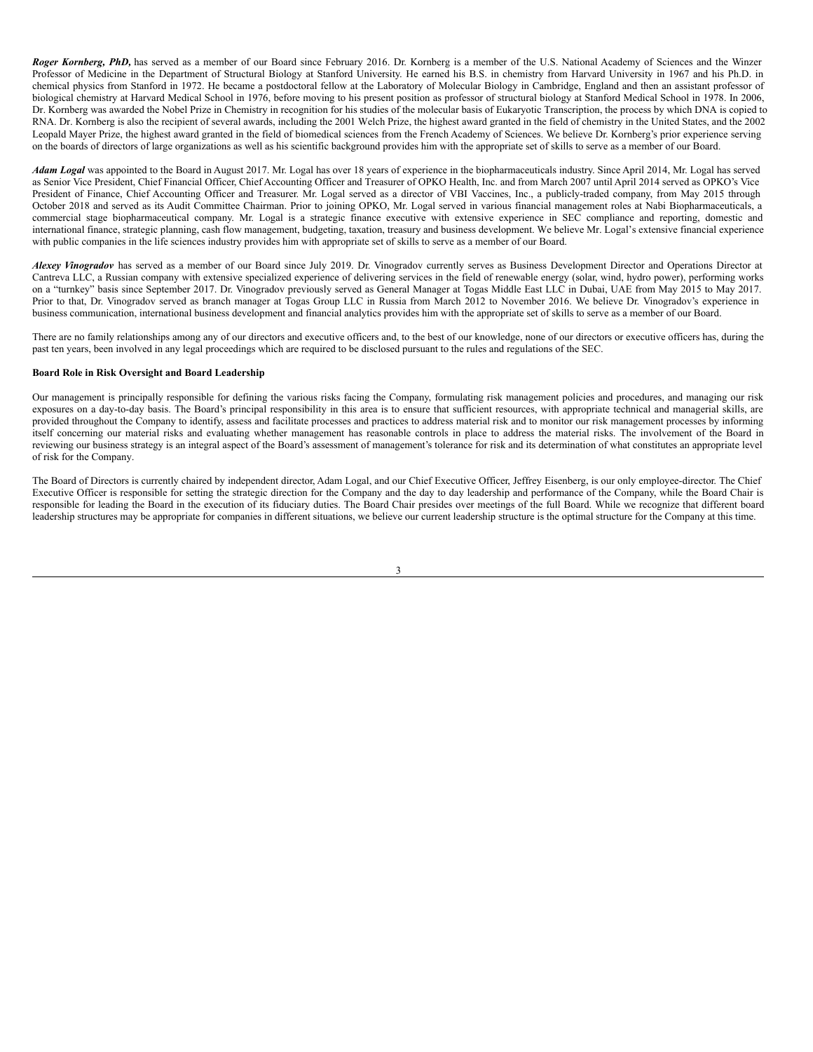*Roger Kornberg, PhD,* has served as a member of our Board since February 2016. Dr. Kornberg is a member of the U.S. National Academy of Sciences and the Winzer Professor of Medicine in the Department of Structural Biology at Stanford University. He earned his B.S. in chemistry from Harvard University in 1967 and his Ph.D. in chemical physics from Stanford in 1972. He became a postdoctoral fellow at the Laboratory of Molecular Biology in Cambridge, England and then an assistant professor of biological chemistry at Harvard Medical School in 1976, before moving to his present position as professor of structural biology at Stanford Medical School in 1978. In 2006, Dr. Kornberg was awarded the Nobel Prize in Chemistry in recognition for his studies of the molecular basis of Eukaryotic Transcription, the process by which DNA is copied to RNA. Dr. Kornberg is also the recipient of several awards, including the 2001 Welch Prize, the highest award granted in the field of chemistry in the United States, and the 2002 Leopald Mayer Prize, the highest award granted in the field of biomedical sciences from the French Academy of Sciences. We believe Dr. Kornberg's prior experience serving on the boards of directors of large organizations as well as his scientific background provides him with the appropriate set of skills to serve as a member of our Board.

*Adam Logal* was appointed to the Board in August 2017. Mr. Logal has over 18 years of experience in the biopharmaceuticals industry. Since April 2014, Mr. Logal has served as Senior Vice President, Chief Financial Officer, Chief Accounting Officer and Treasurer of OPKO Health, Inc. and from March 2007 until April 2014 served as OPKO's Vice President of Finance, Chief Accounting Officer and Treasurer. Mr. Logal served as a director of VBI Vaccines, Inc., a publicly-traded company, from May 2015 through October 2018 and served as its Audit Committee Chairman. Prior to joining OPKO, Mr. Logal served in various financial management roles at Nabi Biopharmaceuticals, a commercial stage biopharmaceutical company. Mr. Logal is a strategic finance executive with extensive experience in SEC compliance and reporting, domestic and international finance, strategic planning, cash flow management, budgeting, taxation, treasury and business development. We believe Mr. Logal's extensive financial experience with public companies in the life sciences industry provides him with appropriate set of skills to serve as a member of our Board.

*Alexey Vinogradov* has served as a member of our Board since July 2019. Dr. Vinogradov currently serves as Business Development Director and Operations Director at Cantreva LLC, a Russian company with extensive specialized experience of delivering services in the field of renewable energy (solar, wind, hydro power), performing works on a "turnkey" basis since September 2017. Dr. Vinogradov previously served as General Manager at Togas Middle East LLC in Dubai, UAE from May 2015 to May 2017. Prior to that, Dr. Vinogradov served as branch manager at Togas Group LLC in Russia from March 2012 to November 2016. We believe Dr. Vinogradov's experience in business communication, international business development and financial analytics provides him with the appropriate set of skills to serve as a member of our Board.

There are no family relationships among any of our directors and executive officers and, to the best of our knowledge, none of our directors or executive officers has, during the past ten years, been involved in any legal proceedings which are required to be disclosed pursuant to the rules and regulations of the SEC.

# **Board Role in Risk Oversight and Board Leadership**

Our management is principally responsible for defining the various risks facing the Company, formulating risk management policies and procedures, and managing our risk exposures on a day-to-day basis. The Board's principal responsibility in this area is to ensure that sufficient resources, with appropriate technical and managerial skills, are provided throughout the Company to identify, assess and facilitate processes and practices to address material risk and to monitor our risk management processes by informing itself concerning our material risks and evaluating whether management has reasonable controls in place to address the material risks. The involvement of the Board in reviewing our business strategy is an integral aspect of the Board's assessment of management's tolerance for risk and its determination of what constitutes an appropriate level of risk for the Company.

The Board of Directors is currently chaired by independent director, Adam Logal, and our Chief Executive Officer, Jeffrey Eisenberg, is our only employee-director. The Chief Executive Officer is responsible for setting the strategic direction for the Company and the day to day leadership and performance of the Company, while the Board Chair is responsible for leading the Board in the execution of its fiduciary duties. The Board Chair presides over meetings of the full Board. While we recognize that different board leadership structures may be appropriate for companies in different situations, we believe our current leadership structure is the optimal structure for the Company at this time.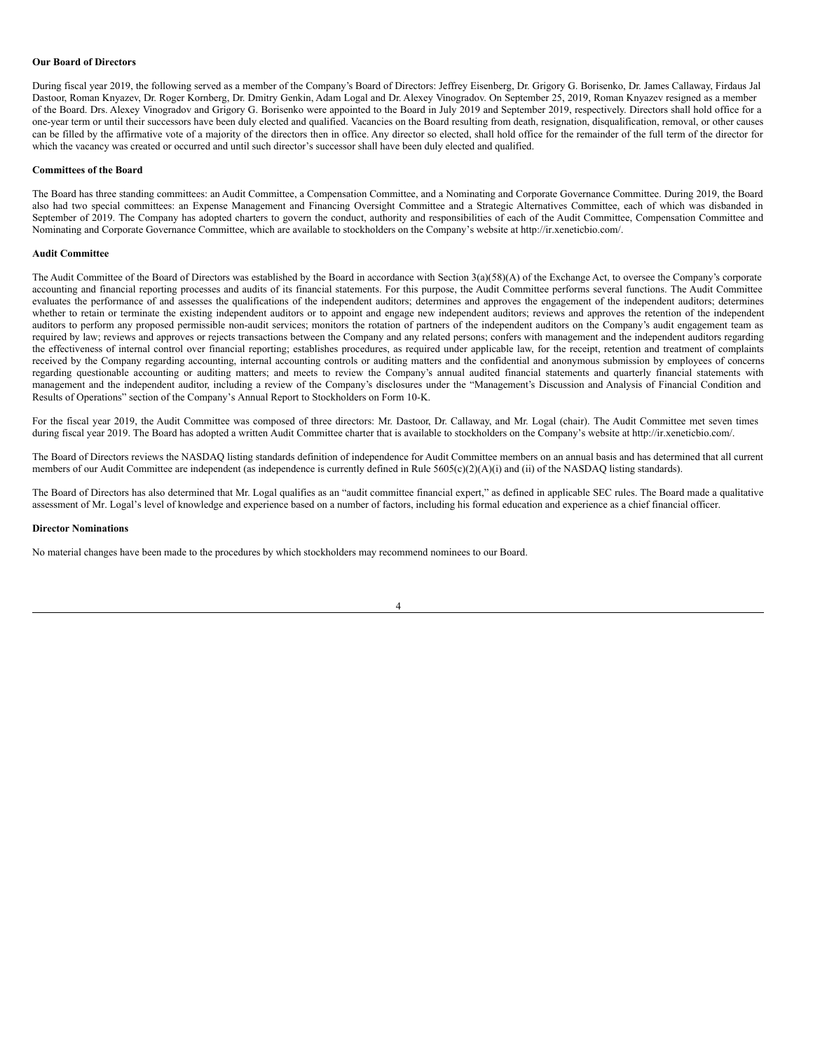#### **Our Board of Directors**

During fiscal year 2019, the following served as a member of the Company's Board of Directors: Jeffrey Eisenberg, Dr. Grigory G. Borisenko, Dr. James Callaway, Firdaus Jal Dastoor, Roman Knyazev, Dr. Roger Kornberg, Dr. Dmitry Genkin, Adam Logal and Dr. Alexey Vinogradov. On September 25, 2019, Roman Knyazev resigned as a member of the Board. Drs. Alexey Vinogradov and Grigory G. Borisenko were appointed to the Board in July 2019 and September 2019, respectively. Directors shall hold office for a one-year term or until their successors have been duly elected and qualified. Vacancies on the Board resulting from death, resignation, disqualification, removal, or other causes can be filled by the affirmative vote of a majority of the directors then in office. Any director so elected, shall hold office for the remainder of the full term of the director for which the vacancy was created or occurred and until such director's successor shall have been duly elected and qualified.

#### **Committees of the Board**

The Board has three standing committees: an Audit Committee, a Compensation Committee, and a Nominating and Corporate Governance Committee. During 2019, the Board also had two special committees: an Expense Management and Financing Oversight Committee and a Strategic Alternatives Committee, each of which was disbanded in September of 2019. The Company has adopted charters to govern the conduct, authority and responsibilities of each of the Audit Committee, Compensation Committee and Nominating and Corporate Governance Committee, which are available to stockholders on the Company's website at http://ir.xeneticbio.com/.

# **Audit Committee**

The Audit Committee of the Board of Directors was established by the Board in accordance with Section 3(a)(58)(A) of the Exchange Act, to oversee the Company's corporate accounting and financial reporting processes and audits of its financial statements. For this purpose, the Audit Committee performs several functions. The Audit Committee evaluates the performance of and assesses the qualifications of the independent auditors; determines and approves the engagement of the independent auditors; determines whether to retain or terminate the existing independent auditors or to appoint and engage new independent auditors; reviews and approves the retention of the independent auditors to perform any proposed permissible non-audit services; monitors the rotation of partners of the independent auditors on the Company's audit engagement team as required by law; reviews and approves or rejects transactions between the Company and any related persons; confers with management and the independent auditors regarding the effectiveness of internal control over financial reporting; establishes procedures, as required under applicable law, for the receipt, retention and treatment of complaints received by the Company regarding accounting, internal accounting controls or auditing matters and the confidential and anonymous submission by employees of concerns regarding questionable accounting or auditing matters; and meets to review the Company's annual audited financial statements and quarterly financial statements with management and the independent auditor, including a review of the Company's disclosures under the "Management's Discussion and Analysis of Financial Condition and Results of Operations" section of the Company's Annual Report to Stockholders on Form 10-K.

For the fiscal year 2019, the Audit Committee was composed of three directors: Mr. Dastoor, Dr. Callaway, and Mr. Logal (chair). The Audit Committee met seven times during fiscal year 2019. The Board has adopted a written Audit Committee charter that is available to stockholders on the Company's website at http://ir.xeneticbio.com/.

The Board of Directors reviews the NASDAQ listing standards definition of independence for Audit Committee members on an annual basis and has determined that all current members of our Audit Committee are independent (as independence is currently defined in Rule 5605(c)(2)(A)(i) and (ii) of the NASDAQ listing standards).

The Board of Directors has also determined that Mr. Logal qualifies as an "audit committee financial expert," as defined in applicable SEC rules. The Board made a qualitative assessment of Mr. Logal's level of knowledge and experience based on a number of factors, including his formal education and experience as a chief financial officer.

#### **Director Nominations**

No material changes have been made to the procedures by which stockholders may recommend nominees to our Board.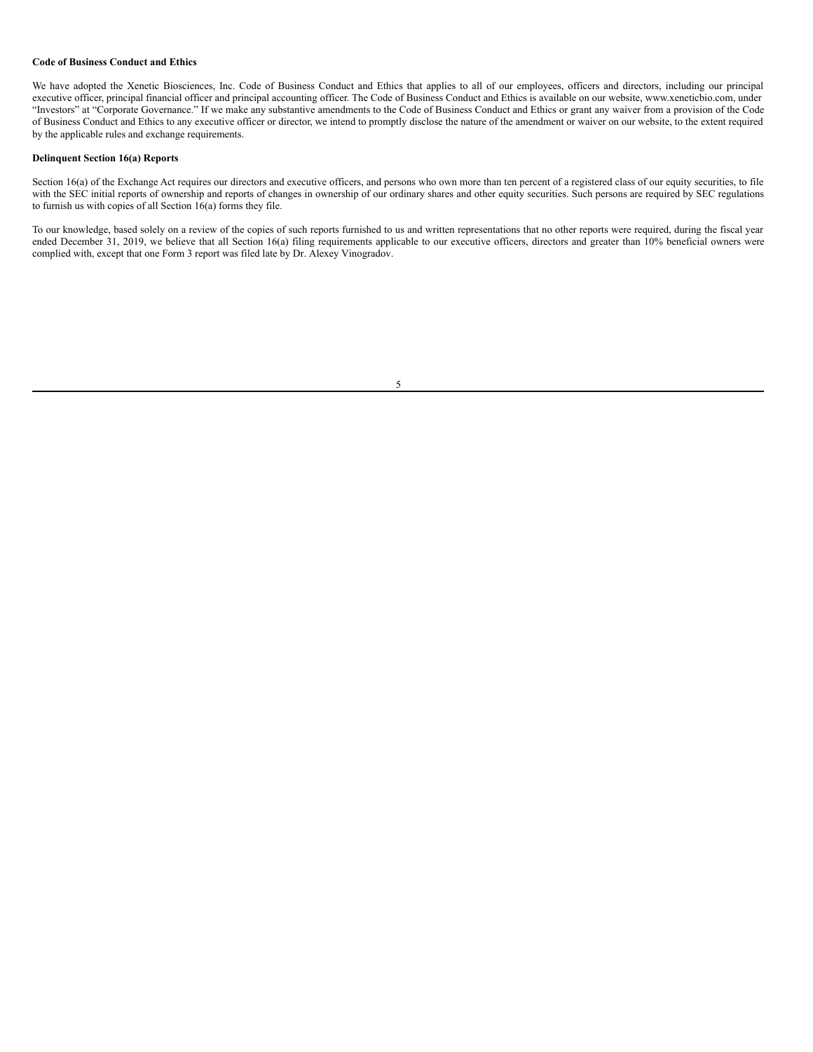#### **Code of Business Conduct and Ethics**

We have adopted the Xenetic Biosciences, Inc. Code of Business Conduct and Ethics that applies to all of our employees, officers and directors, including our principal executive officer, principal financial officer and principal accounting officer. The Code of Business Conduct and Ethics is available on our website, www.xeneticbio.com, under "Investors" at "Corporate Governance." If we make any substantive amendments to the Code of Business Conduct and Ethics or grant any waiver from a provision of the Code of Business Conduct and Ethics to any executive officer or director, we intend to promptly disclose the nature of the amendment or waiver on our website, to the extent required by the applicable rules and exchange requirements.

# **Delinquent Section 16(a) Reports**

Section 16(a) of the Exchange Act requires our directors and executive officers, and persons who own more than ten percent of a registered class of our equity securities, to file with the SEC initial reports of ownership and reports of changes in ownership of our ordinary shares and other equity securities. Such persons are required by SEC regulations to furnish us with copies of all Section 16(a) forms they file.

To our knowledge, based solely on a review of the copies of such reports furnished to us and written representations that no other reports were required, during the fiscal year ended December 31, 2019, we believe that all Section 16(a) filing requirements applicable to our executive officers, directors and greater than 10% beneficial owners were complied with, except that one Form 3 report was filed late by Dr. Alexey Vinogradov.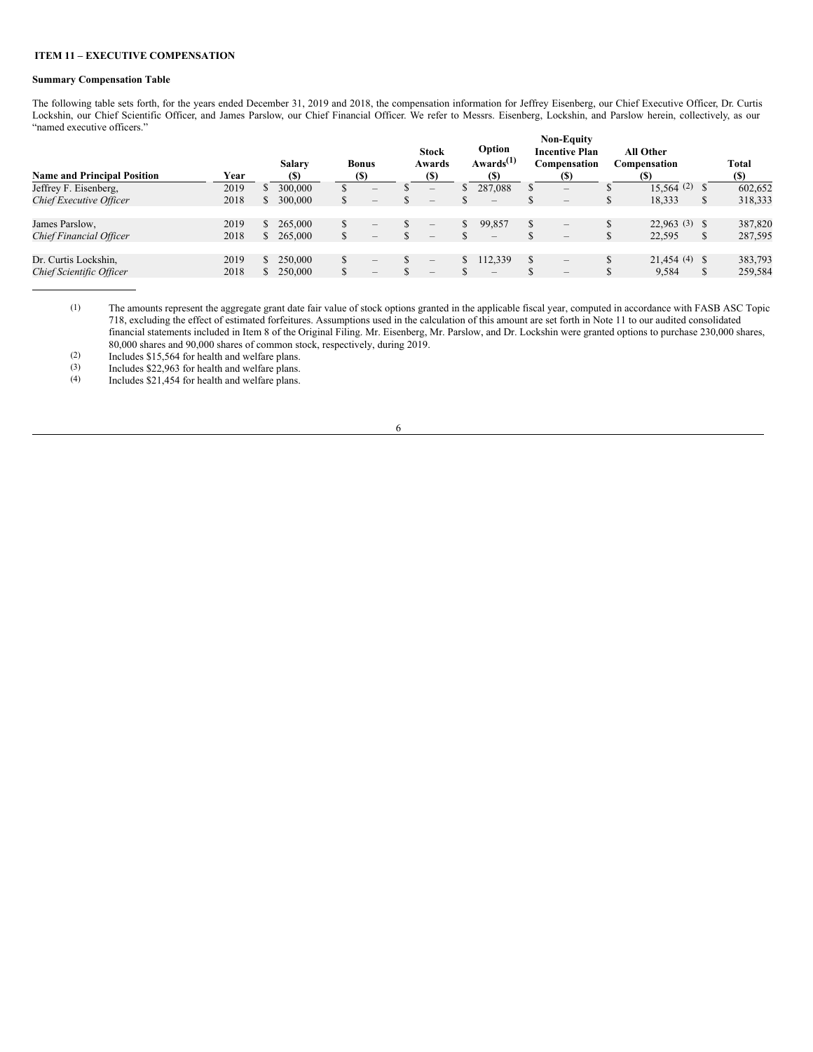## <span id="page-8-0"></span>**ITEM 11 – EXECUTIVE COMPENSATION**

# **Summary Compensation Table**

The following table sets forth, for the years ended December 31, 2019 and 2018, the compensation information for Jeffrey Eisenberg, our Chief Executive Officer, Dr. Curtis Lockshin, our Chief Scientific Officer, and James Parslow, our Chief Financial Officer. We refer to Messrs. Eisenberg, Lockshin, and Parslow herein, collectively, as our "named executive officers." **Non-Equity**

| <b>Name and Principal Position</b> | Year | <b>Salary</b><br><b>(\$)</b> |    | <b>Bonus</b><br>(S)             | <b>Stock</b><br>Awards<br>(\$)  | Option<br>Awards <sup>(1)</sup><br>(S) |        | Non-Equity<br><b>Incentive Plan</b><br>Compensation<br>(S) |    | <b>All Other</b><br>Compensation<br>(S) |               | <b>Total</b><br>(S) |
|------------------------------------|------|------------------------------|----|---------------------------------|---------------------------------|----------------------------------------|--------|------------------------------------------------------------|----|-----------------------------------------|---------------|---------------------|
| Jeffrey F. Eisenberg,              | 2019 | 300,000                      | S  | $\qquad \qquad$                 | $\overline{\phantom{a}}$        | 287,088                                | ъ      | $\sim$                                                     |    | $15.564(2)$ \$                          |               | 602,652             |
| Chief Executive Officer            | 2018 | 300,000                      | S  | $\qquad \qquad$                 | $\qquad \qquad$                 | $\qquad \qquad$                        | D      | $\hspace{0.1mm}-\hspace{0.1mm}$                            | Ф  | 18,333                                  | S             | 318,333             |
| James Parslow,                     | 2019 | 265,000                      |    | $\qquad \qquad$                 | $\overline{\phantom{a}}$        | 99.857                                 | S      | $\overline{\phantom{0}}$                                   |    | $22.963(3)$ \$                          |               | 387,820             |
| Chief Financial Officer            | 2018 | 265,000                      |    | $\qquad \qquad$                 | $\hspace{0.1mm}-\hspace{0.1mm}$ |                                        | Œ      |                                                            | D  | 22,595                                  | <sup>\$</sup> | 287,595             |
| Dr. Curtis Lockshin,               | 2019 | 250,000                      | \$ | $\hspace{0.1mm}-\hspace{0.1mm}$ | $\hspace{0.1mm}-\hspace{0.1mm}$ | 112,339                                | \$     | $\qquad \qquad$                                            |    | $21.454(4)$ \$                          |               | 383,793             |
| Chief Scientific Officer           | 2018 | 250,000                      | \$ | $\qquad \qquad$                 | $-$                             |                                        | Φ<br>Ф | $\hspace{0.1mm}-\hspace{0.1mm}$                            | J. | 9,584                                   | <sup>\$</sup> | 259,584             |

(1) The amounts represent the aggregate grant date fair value of stock options granted in the applicable fiscal year, computed in accordance with FASB ASC Topic 718, excluding the effect of estimated forfeitures. Assumptions used in the calculation of this amount are set forth in Note 11 to our audited consolidated financial statements included in Item 8 of the Original Filing. Mr. Eisenberg, Mr. Parslow, and Dr. Lockshin were granted options to purchase 230,000 shares, 80,000 shares and 90,000 shares of common stock, respectively, during 2019.

(2) Includes \$15,564 for health and welfare plans.<br>(3) Includes \$22,963 for health and welfare plans.

(3) Includes \$22,963 for health and welfare plans.<br>(4) Includes \$21,454 for health and welfare plans. Includes  $$21,454$  for health and welfare plans.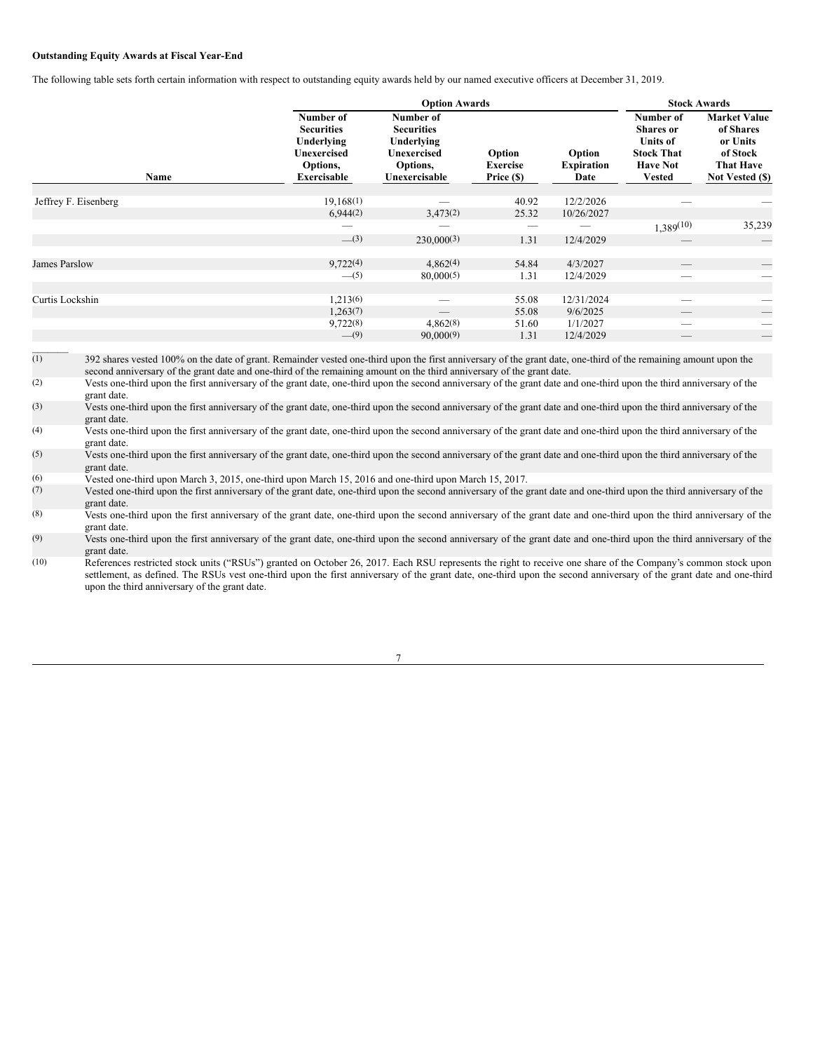# **Outstanding Equity Awards at Fiscal Year-End**

The following table sets forth certain information with respect to outstanding equity awards held by our named executive officers at December 31, 2019.

|                      |                                                                                                      | <b>Option Awards</b>                                                                            |                                  |                                     |                                                                                                           |                                                                                                 |  |
|----------------------|------------------------------------------------------------------------------------------------------|-------------------------------------------------------------------------------------------------|----------------------------------|-------------------------------------|-----------------------------------------------------------------------------------------------------------|-------------------------------------------------------------------------------------------------|--|
| Name                 | Number of<br><b>Securities</b><br>Underlying<br><b>Unexercised</b><br>Options,<br><b>Exercisable</b> | Number of<br><b>Securities</b><br>Underlying<br><b>Unexercised</b><br>Options,<br>Unexercisable | Option<br>Exercise<br>Price (\$) | Option<br><b>Expiration</b><br>Date | Number of<br><b>Shares</b> or<br><b>Units of</b><br><b>Stock That</b><br><b>Have Not</b><br><b>Vested</b> | <b>Market Value</b><br>of Shares<br>or Units<br>of Stock<br><b>That Have</b><br>Not Vested (\$) |  |
| Jeffrey F. Eisenberg | 19,168(1)                                                                                            | –                                                                                               | 40.92                            | 12/2/2026                           |                                                                                                           |                                                                                                 |  |
|                      | 6,944(2)                                                                                             | 3,473(2)                                                                                        | 25.32                            | 10/26/2027                          |                                                                                                           |                                                                                                 |  |
|                      |                                                                                                      |                                                                                                 |                                  |                                     | $1,389^{(10)}$                                                                                            | 35,239                                                                                          |  |
|                      | $-$ (3)                                                                                              | 230,000(3)                                                                                      | 1.31                             | 12/4/2029                           |                                                                                                           | $\overline{\phantom{m}}$                                                                        |  |
|                      |                                                                                                      |                                                                                                 |                                  |                                     |                                                                                                           |                                                                                                 |  |
| James Parslow        | 9,722(4)                                                                                             | 4,862(4)                                                                                        | 54.84                            | 4/3/2027                            |                                                                                                           | $\overline{\phantom{0}}$                                                                        |  |
|                      | $-$ (5)                                                                                              | 80,000(5)                                                                                       | 1.31                             | 12/4/2029                           | -                                                                                                         |                                                                                                 |  |
|                      |                                                                                                      |                                                                                                 |                                  |                                     |                                                                                                           |                                                                                                 |  |
| Curtis Lockshin      | 1,213(6)                                                                                             | -                                                                                               | 55.08                            | 12/31/2024                          | -                                                                                                         |                                                                                                 |  |
|                      | 1,263(7)                                                                                             |                                                                                                 | 55.08                            | 9/6/2025                            |                                                                                                           | $\overline{\phantom{0}}$                                                                        |  |
|                      | 9,722(8)                                                                                             | 4,862(8)                                                                                        | 51.60                            | 1/1/2027                            | _                                                                                                         |                                                                                                 |  |
|                      | $-$ (9)                                                                                              | 90,000(9)                                                                                       | 1.31                             | 12/4/2029                           | $\hspace{0.1mm}-\hspace{0.1mm}$                                                                           | $\overline{\phantom{0}}$                                                                        |  |
|                      |                                                                                                      |                                                                                                 |                                  |                                     |                                                                                                           |                                                                                                 |  |

 $\overline{(1)}$  392 shares vested 100% on the date of grant. Remainder vested one-third upon the first anniversary of the grant date, one-third of the remaining amount upon the second anniversary of the grant date and one-third of the remaining amount on the third anniversary of the grant date.

(2) Vests one-third upon the first anniversary of the grant date, one-third upon the second anniversary of the grant date and one-third upon the third anniversary of the grant date.

(3) Vests one-third upon the first anniversary of the grant date, one-third upon the second anniversary of the grant date and one-third upon the third anniversary of the grant date.

(4) Vests one-third upon the first anniversary of the grant date, one-third upon the second anniversary of the grant date and one-third upon the third anniversary of the grant date.

(5) Vests one-third upon the first anniversary of the grant date, one-third upon the second anniversary of the grant date and one-third upon the third anniversary of the grant date.

(6) Vested one-third upon March 3, 2015, one-third upon March 15, 2016 and one-third upon March 15, 2017.

Vested one-third upon the first anniversary of the grant date, one-third upon the second anniversary of the grant date and one-third upon the third anniversary of the grant date.

(8) Vests one-third upon the first anniversary of the grant date, one-third upon the second anniversary of the grant date and one-third upon the third anniversary of the grant date.

(9) Vests one-third upon the first anniversary of the grant date, one-third upon the second anniversary of the grant date and one-third upon the third anniversary of the grant date.

(10) References restricted stock units ("RSUs") granted on October 26, 2017. Each RSU represents the right to receive one share of the Company's common stock upon settlement, as defined. The RSUs vest one-third upon the first anniversary of the grant date, one-third upon the second anniversary of the grant date and one-third upon the third anniversary of the grant date.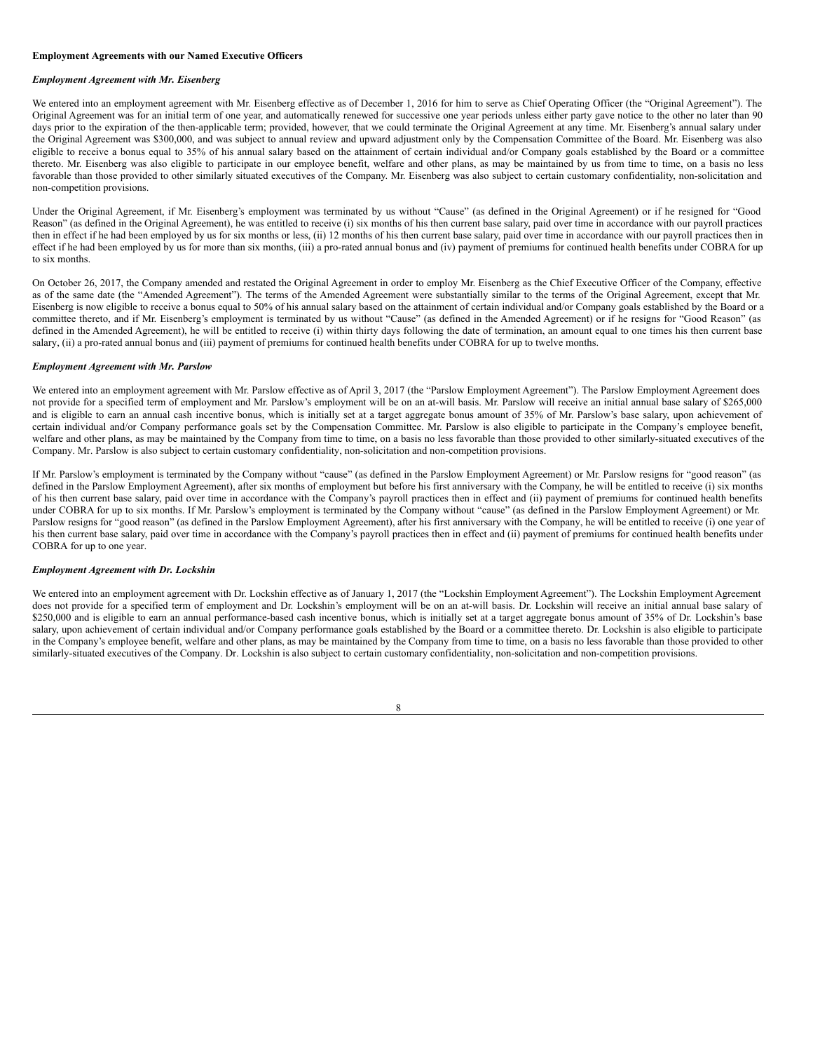# **Employment Agreements with our Named Executive Officers**

# *Employment Agreement with Mr. Eisenberg*

We entered into an employment agreement with Mr. Eisenberg effective as of December 1, 2016 for him to serve as Chief Operating Officer (the "Original Agreement"). The Original Agreement was for an initial term of one year, and automatically renewed for successive one year periods unless either party gave notice to the other no later than 90 days prior to the expiration of the then-applicable term; provided, however, that we could terminate the Original Agreement at any time. Mr. Eisenberg's annual salary under the Original Agreement was \$300,000, and was subject to annual review and upward adjustment only by the Compensation Committee of the Board. Mr. Eisenberg was also eligible to receive a bonus equal to 35% of his annual salary based on the attainment of certain individual and/or Company goals established by the Board or a committee thereto. Mr. Eisenberg was also eligible to participate in our employee benefit, welfare and other plans, as may be maintained by us from time to time, on a basis no less favorable than those provided to other similarly situated executives of the Company. Mr. Eisenberg was also subject to certain customary confidentiality, non-solicitation and non-competition provisions.

Under the Original Agreement, if Mr. Eisenberg's employment was terminated by us without "Cause" (as defined in the Original Agreement) or if he resigned for "Good Reason" (as defined in the Original Agreement), he was entitled to receive (i) six months of his then current base salary, paid over time in accordance with our payroll practices then in effect if he had been employed by us for six months or less, (ii) 12 months of his then current base salary, paid over time in accordance with our payroll practices then in effect if he had been employed by us for more than six months, (iii) a pro-rated annual bonus and (iv) payment of premiums for continued health benefits under COBRA for up to six months.

On October 26, 2017, the Company amended and restated the Original Agreement in order to employ Mr. Eisenberg as the Chief Executive Officer of the Company, effective as of the same date (the "Amended Agreement"). The terms of the Amended Agreement were substantially similar to the terms of the Original Agreement, except that Mr. Eisenberg is now eligible to receive a bonus equal to 50% of his annual salary based on the attainment of certain individual and/or Company goals established by the Board or a committee thereto, and if Mr. Eisenberg's employment is terminated by us without "Cause" (as defined in the Amended Agreement) or if he resigns for "Good Reason" (as defined in the Amended Agreement), he will be entitled to receive (i) within thirty days following the date of termination, an amount equal to one times his then current base salary, (ii) a pro-rated annual bonus and (iii) payment of premiums for continued health benefits under COBRA for up to twelve months.

#### *Employment Agreement with Mr. Parslow*

We entered into an employment agreement with Mr. Parslow effective as of April 3, 2017 (the "Parslow Employment Agreement"). The Parslow Employment Agreement does not provide for a specified term of employment and Mr. Parslow's employment will be on an at-will basis. Mr. Parslow will receive an initial annual base salary of \$265,000 and is eligible to earn an annual cash incentive bonus, which is initially set at a target aggregate bonus amount of 35% of Mr. Parslow's base salary, upon achievement of certain individual and/or Company performance goals set by the Compensation Committee. Mr. Parslow is also eligible to participate in the Company's employee benefit, welfare and other plans, as may be maintained by the Company from time to time, on a basis no less favorable than those provided to other similarly-situated executives of the Company. Mr. Parslow is also subject to certain customary confidentiality, non-solicitation and non-competition provisions.

If Mr. Parslow's employment is terminated by the Company without "cause" (as defined in the Parslow Employment Agreement) or Mr. Parslow resigns for "good reason" (as defined in the Parslow Employment Agreement), after six months of employment but before his first anniversary with the Company, he will be entitled to receive (i) six months of his then current base salary, paid over time in accordance with the Company's payroll practices then in effect and (ii) payment of premiums for continued health benefits under COBRA for up to six months. If Mr. Parslow's employment is terminated by the Company without "cause" (as defined in the Parslow Employment Agreement) or Mr. Parslow resigns for "good reason" (as defined in the Parslow Employment Agreement), after his first anniversary with the Company, he will be entitled to receive (i) one year of his then current base salary, paid over time in accordance with the Company's payroll practices then in effect and (ii) payment of premiums for continued health benefits under COBRA for up to one year.

#### *Employment Agreement with Dr. Lockshin*

We entered into an employment agreement with Dr. Lockshin effective as of January 1, 2017 (the "Lockshin Employment Agreement"). The Lockshin Employment Agreement does not provide for a specified term of employment and Dr. Lockshin's employment will be on an at-will basis. Dr. Lockshin will receive an initial annual base salary of \$250,000 and is eligible to earn an annual performance-based cash incentive bonus, which is initially set at a target aggregate bonus amount of 35% of Dr. Lockshin's base salary, upon achievement of certain individual and/or Company performance goals established by the Board or a committee thereto. Dr. Lockshin is also eligible to participate in the Company's employee benefit, welfare and other plans, as may be maintained by the Company from time to time, on a basis no less favorable than those provided to other similarly-situated executives of the Company. Dr. Lockshin is also subject to certain customary confidentiality, non-solicitation and non-competition provisions.

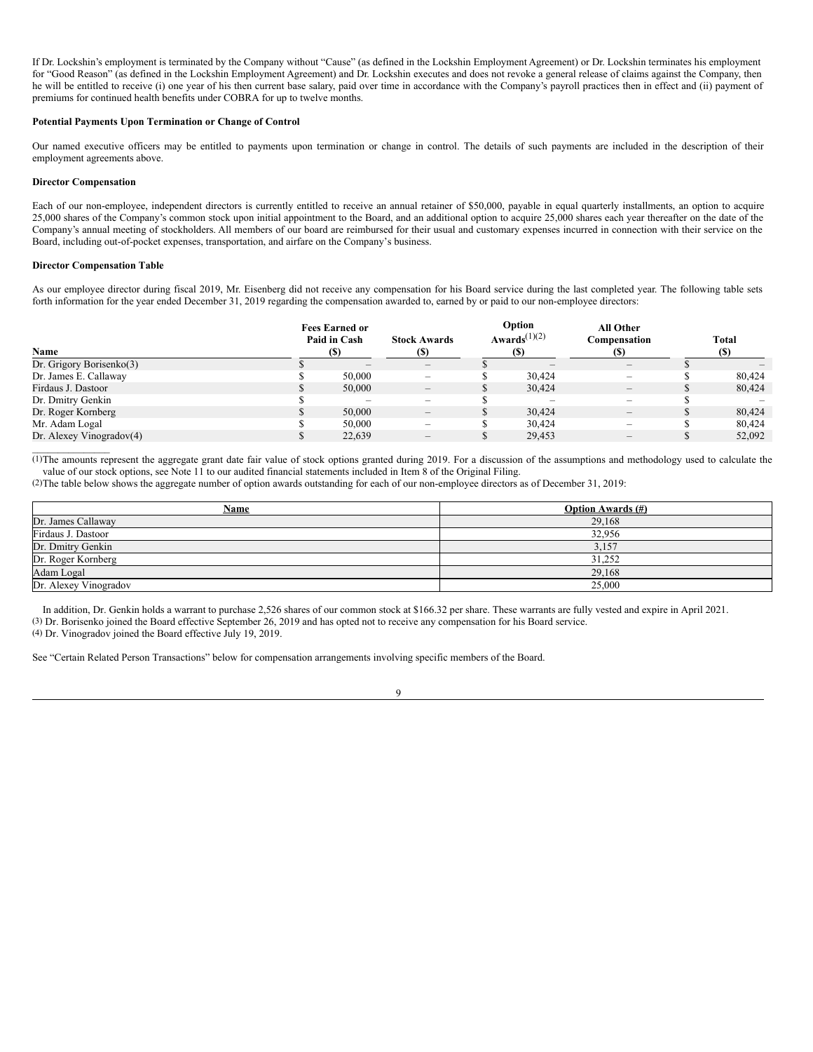If Dr. Lockshin's employment is terminated by the Company without "Cause" (as defined in the Lockshin Employment Agreement) or Dr. Lockshin terminates his employment for "Good Reason" (as defined in the Lockshin Employment Agreement) and Dr. Lockshin executes and does not revoke a general release of claims against the Company, then he will be entitled to receive (i) one year of his then current base salary, paid over time in accordance with the Company's payroll practices then in effect and (ii) payment of premiums for continued health benefits under COBRA for up to twelve months.

# **Potential Payments Upon Termination or Change of Control**

Our named executive officers may be entitled to payments upon termination or change in control. The details of such payments are included in the description of their employment agreements above.

## **Director Compensation**

Each of our non-employee, independent directors is currently entitled to receive an annual retainer of \$50,000, payable in equal quarterly installments, an option to acquire 25,000 shares of the Company's common stock upon initial appointment to the Board, and an additional option to acquire 25,000 shares each year thereafter on the date of the Company's annual meeting of stockholders. All members of our board are reimbursed for their usual and customary expenses incurred in connection with their service on the Board, including out-of-pocket expenses, transportation, and airfare on the Company's business.

#### **Director Compensation Table**

As our employee director during fiscal 2019, Mr. Eisenberg did not receive any compensation for his Board service during the last completed year. The following table sets forth information for the year ended December 31, 2019 regarding the compensation awarded to, earned by or paid to our non-employee directors:

| Name                     | <b>Fees Earned or</b><br>Paid in Cash<br>(S) | <b>Stock Awards</b><br><b>(S)</b> | Option<br>Awards <sup><math>(1)(2)</math></sup> | All Other<br>Compensation<br>(S)                                          | <b>Total</b><br>(S) |
|--------------------------|----------------------------------------------|-----------------------------------|-------------------------------------------------|---------------------------------------------------------------------------|---------------------|
| Dr. Grigory Borisenko(3) |                                              | $\qquad \qquad -$                 |                                                 | $\hspace{0.1mm}-\hspace{0.1mm}$                                           |                     |
| Dr. James E. Callaway    | 50,000                                       | $\overline{\phantom{0}}$          | 30.424                                          | $\hspace{1.0cm} \rule{1.5cm}{0.15cm} \hspace{1.0cm} \rule{1.5cm}{0.15cm}$ | 80,424              |
| Firdaus J. Dastoor       | 50,000                                       | $\qquad \qquad -$                 | 30,424                                          | $\hspace{0.1mm}-\hspace{0.1mm}$                                           | 80,424              |
| Dr. Dmitry Genkin        |                                              | $\overline{\phantom{0}}$          |                                                 | $\overline{\phantom{a}}$                                                  |                     |
| Dr. Roger Kornberg       | 50,000                                       | $\qquad \qquad -$                 | 30,424                                          | $\hspace{0.1mm}-\hspace{0.1mm}$                                           | 80,424              |
| Mr. Adam Logal           | 50,000                                       | $\overline{\phantom{0}}$          | 30.424                                          | $\overline{\phantom{a}}$                                                  | 80,424              |
| Dr. Alexey Vinogradov(4) | 22,639                                       | $\qquad \qquad -$                 | 29,453                                          | $\hspace{0.1mm}-\hspace{0.1mm}$                                           | 52,092              |
|                          |                                              |                                   |                                                 |                                                                           |                     |

(1)The amounts represent the aggregate grant date fair value of stock options granted during 2019. For a discussion of the assumptions and methodology used to calculate the value of our stock options, see Note 11 to our audited financial statements included in Item 8 of the Original Filing.

(2)The table below shows the aggregate number of option awards outstanding for each of our non-employee directors as of December 31, 2019:

| Name                  | <b>Option Awards</b> (#) |
|-----------------------|--------------------------|
| Dr. James Callaway    | 29,168                   |
| Firdaus J. Dastoor    | 32,956                   |
| Dr. Dmitry Genkin     | 3,157                    |
| Dr. Roger Kornberg    | 31,252                   |
| Adam Logal            | 29,168                   |
| Dr. Alexey Vinogradov | 25,000                   |

In addition, Dr. Genkin holds a warrant to purchase 2,526 shares of our common stock at \$166.32 per share. These warrants are fully vested and expire in April 2021. (3) Dr. Borisenko joined the Board effective September 26, 2019 and has opted not to receive any compensation for his Board service.

(4) Dr. Vinogradov joined the Board effective July 19, 2019.

See "Certain Related Person Transactions" below for compensation arrangements involving specific members of the Board.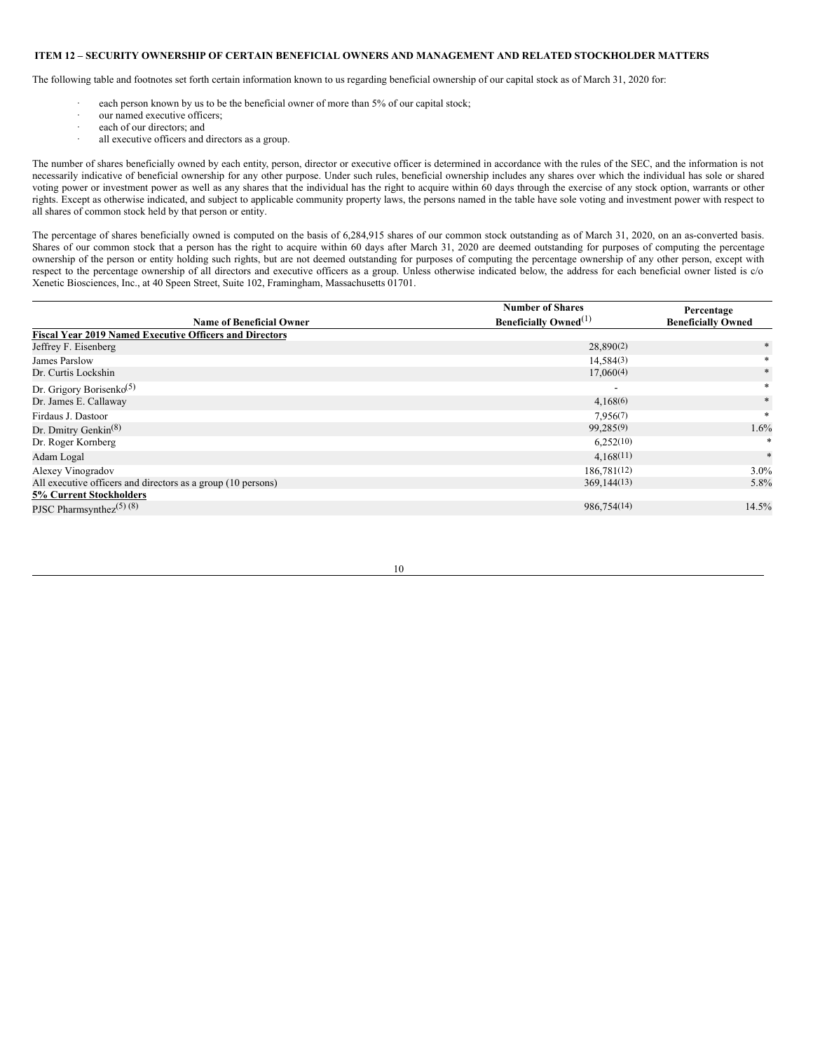# <span id="page-12-0"></span>**ITEM 12 – SECURITY OWNERSHIP OF CERTAIN BENEFICIAL OWNERS AND MANAGEMENT AND RELATED STOCKHOLDER MATTERS**

The following table and footnotes set forth certain information known to us regarding beneficial ownership of our capital stock as of March 31, 2020 for:

- each person known by us to be the beneficial owner of more than 5% of our capital stock;
- our named executive officers;
- · each of our directors; and
- all executive officers and directors as a group.

The number of shares beneficially owned by each entity, person, director or executive officer is determined in accordance with the rules of the SEC, and the information is not necessarily indicative of beneficial ownership for any other purpose. Under such rules, beneficial ownership includes any shares over which the individual has sole or shared voting power or investment power as well as any shares that the individual has the right to acquire within 60 days through the exercise of any stock option, warrants or other rights. Except as otherwise indicated, and subject to applicable community property laws, the persons named in the table have sole voting and investment power with respect to all shares of common stock held by that person or entity.

The percentage of shares beneficially owned is computed on the basis of 6,284,915 shares of our common stock outstanding as of March 31, 2020, on an as-converted basis. Shares of our common stock that a person has the right to acquire within 60 days after March 31, 2020 are deemed outstanding for purposes of computing the percentage ownership of the person or entity holding such rights, but are not deemed outstanding for purposes of computing the percentage ownership of any other person, except with respect to the percentage ownership of all directors and executive officers as a group. Unless otherwise indicated below, the address for each beneficial owner listed is c/o Xenetic Biosciences, Inc., at 40 Speen Street, Suite 102, Framingham, Massachusetts 01701.

|                                                                | <b>Number of Shares</b>                  | Percentage                |  |
|----------------------------------------------------------------|------------------------------------------|---------------------------|--|
| <b>Name of Beneficial Owner</b>                                | <b>Beneficially Owned</b> <sup>(1)</sup> | <b>Beneficially Owned</b> |  |
| <b>Fiscal Year 2019 Named Executive Officers and Directors</b> |                                          |                           |  |
| Jeffrey F. Eisenberg                                           | 28,890(2)                                | $*$                       |  |
| James Parslow                                                  | 14,584(3)                                |                           |  |
| Dr. Curtis Lockshin                                            | 17,060(4)                                | *                         |  |
| Dr. Grigory Borisenko <sup>(5)</sup>                           |                                          | $\ast$                    |  |
| Dr. James E. Callaway                                          | 4,168(6)                                 | *                         |  |
| Firdaus J. Dastoor                                             | 7,956(7)                                 | $\ast$                    |  |
| Dr. Dmitry Genkin <sup>(8)</sup>                               | 99,285(9)                                | 1.6%                      |  |
| Dr. Roger Kornberg                                             | 6,252(10)                                |                           |  |
| Adam Logal                                                     | 4,168(11)                                | $\ast$                    |  |
| Alexey Vinogradov                                              | 186,781(12)                              | $3.0\%$                   |  |
| All executive officers and directors as a group (10 persons)   | 369,144(13)                              | 5.8%                      |  |
| <b>5% Current Stockholders</b>                                 |                                          |                           |  |
| PJSC Pharmsynthez <sup><math>(5)</math></sup> $(8)$            | 986,754(14)                              | 14.5%                     |  |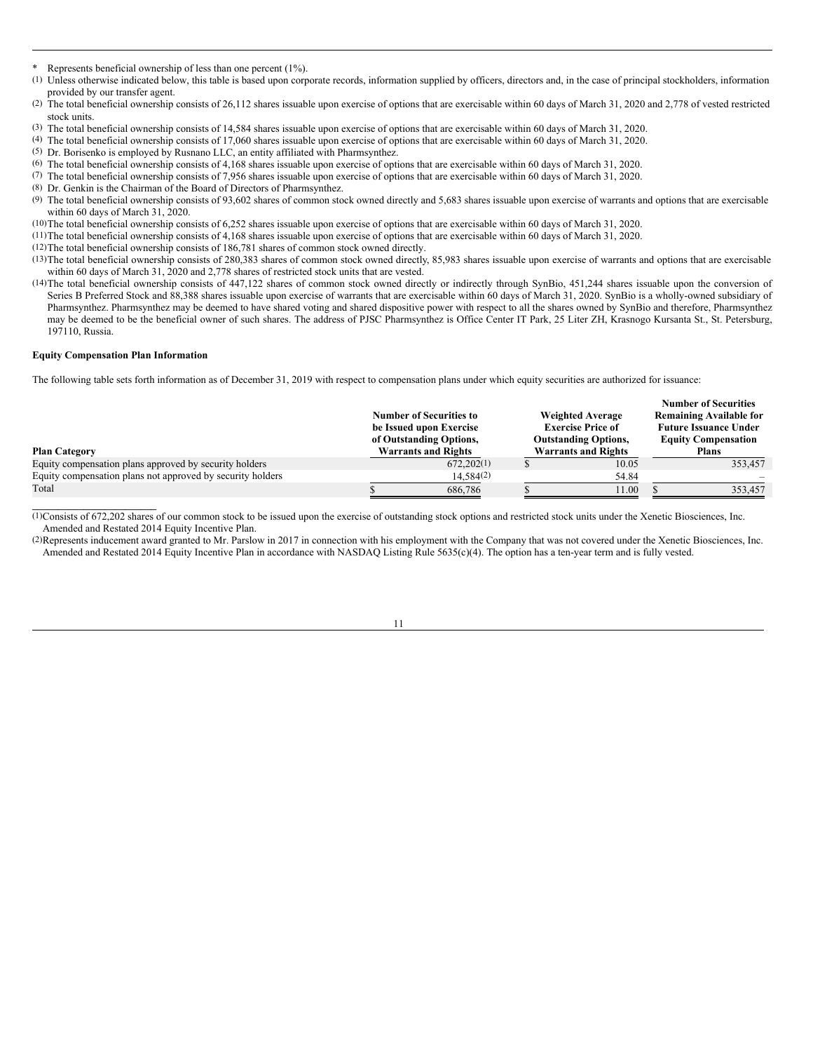- Represents beneficial ownership of less than one percent (1%).
- (1) Unless otherwise indicated below, this table is based upon corporate records, information supplied by officers, directors and, in the case of principal stockholders, information provided by our transfer agent.
- (2) The total beneficial ownership consists of 26,112 shares issuable upon exercise of options that are exercisable within 60 days of March 31, 2020 and 2,778 of vested restricted stock units.
- (3) The total beneficial ownership consists of 14,584 shares issuable upon exercise of options that are exercisable within 60 days of March 31, 2020.
- (4) The total beneficial ownership consists of 17,060 shares issuable upon exercise of options that are exercisable within 60 days of March 31, 2020.
- (5) Dr. Borisenko is employed by Rusnano LLC, an entity affiliated with Pharmsynthez.
- (6) The total beneficial ownership consists of 4,168 shares issuable upon exercise of options that are exercisable within 60 days of March 31, 2020.
- (7) The total beneficial ownership consists of 7,956 shares issuable upon exercise of options that are exercisable within 60 days of March 31, 2020.
- (8) Dr. Genkin is the Chairman of the Board of Directors of Pharmsynthez.
- (9) The total beneficial ownership consists of 93,602 shares of common stock owned directly and 5,683 shares issuable upon exercise of warrants and options that are exercisable within 60 days of March 31, 2020.
- (10)The total beneficial ownership consists of 6,252 shares issuable upon exercise of options that are exercisable within 60 days of March 31, 2020.

(11)The total beneficial ownership consists of 4,168 shares issuable upon exercise of options that are exercisable within 60 days of March 31, 2020.

- (12)The total beneficial ownership consists of 186,781 shares of common stock owned directly.
- (13)The total beneficial ownership consists of 280,383 shares of common stock owned directly, 85,983 shares issuable upon exercise of warrants and options that are exercisable within 60 days of March 31, 2020 and 2,778 shares of restricted stock units that are vested.
- (14)The total beneficial ownership consists of 447,122 shares of common stock owned directly or indirectly through SynBio, 451,244 shares issuable upon the conversion of Series B Preferred Stock and 88,388 shares issuable upon exercise of warrants that are exercisable within 60 days of March 31, 2020. SynBio is a wholly-owned subsidiary of Pharmsynthez. Pharmsynthez may be deemed to have shared voting and shared dispositive power with respect to all the shares owned by SynBio and therefore, Pharmsynthez may be deemed to be the beneficial owner of such shares. The address of PJSC Pharmsynthez is Office Center IT Park, 25 Liter ZH, Krasnogo Kursanta St., St. Petersburg, 197110, Russia.

#### **Equity Compensation Plan Information**

The following table sets forth information as of December 31, 2019 with respect to compensation plans under which equity securities are authorized for issuance:

|                                                            | <b>Number of Securities to</b><br>be Issued upon Exercise<br>of Outstanding Options, | <b>Weighted Average</b><br><b>Exercise Price of</b><br><b>Outstanding Options,</b> | <b>Number of Securities</b><br><b>Remaining Available for</b><br><b>Future Issuance Under</b><br><b>Equity Compensation</b> |  |              |
|------------------------------------------------------------|--------------------------------------------------------------------------------------|------------------------------------------------------------------------------------|-----------------------------------------------------------------------------------------------------------------------------|--|--------------|
| <b>Plan Category</b>                                       |                                                                                      | <b>Warrants and Rights</b>                                                         | <b>Warrants and Rights</b>                                                                                                  |  | <b>Plans</b> |
| Equity compensation plans approved by security holders     |                                                                                      | 672,202(1)                                                                         | 10.05                                                                                                                       |  | 353,457      |
| Equity compensation plans not approved by security holders |                                                                                      | 14.584(2)                                                                          | 54.84                                                                                                                       |  |              |
| Total                                                      |                                                                                      | 686,786                                                                            | 11.00                                                                                                                       |  | 353,457      |
|                                                            |                                                                                      |                                                                                    |                                                                                                                             |  |              |

(1)Consists of 672,202 shares of our common stock to be issued upon the exercise of outstanding stock options and restricted stock units under the Xenetic Biosciences, Inc. Amended and Restated 2014 Equity Incentive Plan.

(2)Represents inducement award granted to Mr. Parslow in 2017 in connection with his employment with the Company that was not covered under the Xenetic Biosciences, Inc. Amended and Restated 2014 Equity Incentive Plan in accordance with NASDAQ Listing Rule 5635(c)(4). The option has a ten-year term and is fully vested.

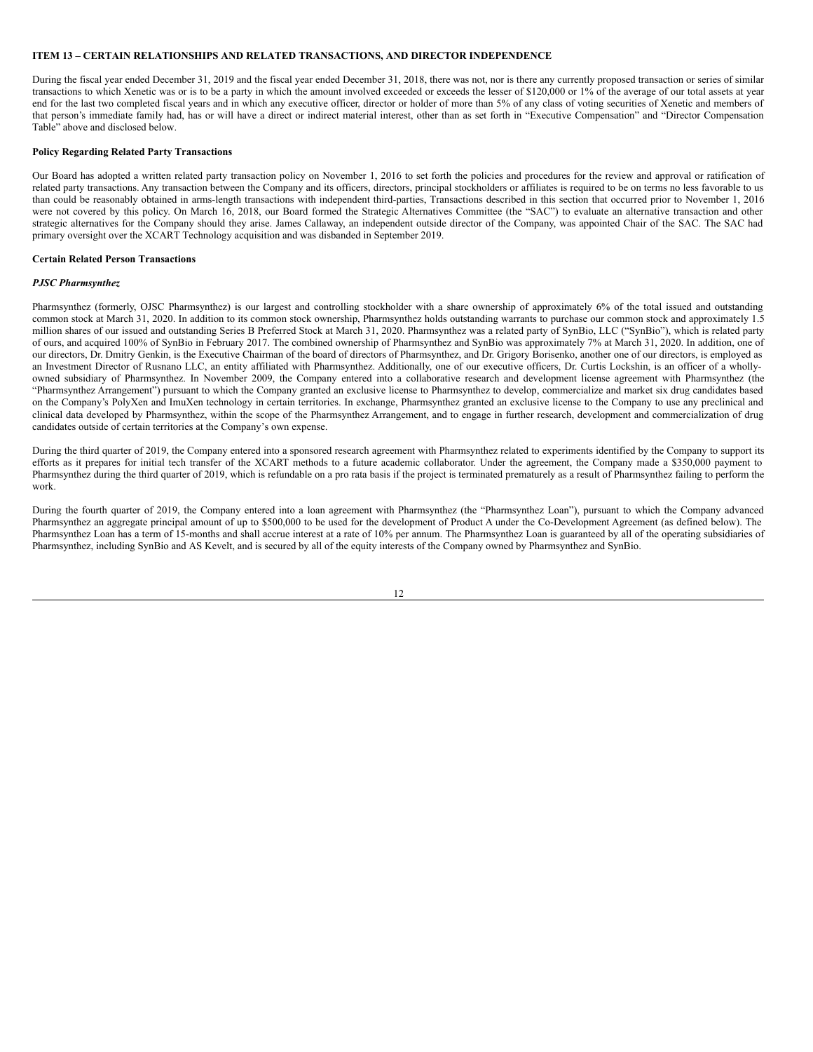# <span id="page-14-0"></span>**ITEM 13 – CERTAIN RELATIONSHIPS AND RELATED TRANSACTIONS, AND DIRECTOR INDEPENDENCE**

During the fiscal year ended December 31, 2019 and the fiscal year ended December 31, 2018, there was not, nor is there any currently proposed transaction or series of similar transactions to which Xenetic was or is to be a party in which the amount involved exceeded or exceeds the lesser of \$120,000 or 1% of the average of our total assets at year end for the last two completed fiscal years and in which any executive officer, director or holder of more than 5% of any class of voting securities of Xenetic and members of that person's immediate family had, has or will have a direct or indirect material interest, other than as set forth in "Executive Compensation" and "Director Compensation Table" above and disclosed below.

# **Policy Regarding Related Party Transactions**

Our Board has adopted a written related party transaction policy on November 1, 2016 to set forth the policies and procedures for the review and approval or ratification of related party transactions. Any transaction between the Company and its officers, directors, principal stockholders or affiliates is required to be on terms no less favorable to us than could be reasonably obtained in arms-length transactions with independent third-parties, Transactions described in this section that occurred prior to November 1, 2016 were not covered by this policy. On March 16, 2018, our Board formed the Strategic Alternatives Committee (the "SAC") to evaluate an alternative transaction and other strategic alternatives for the Company should they arise. James Callaway, an independent outside director of the Company, was appointed Chair of the SAC. The SAC had primary oversight over the XCART Technology acquisition and was disbanded in September 2019.

### **Certain Related Person Transactions**

# *PJSC Pharmsynthez*

Pharmsynthez (formerly, OJSC Pharmsynthez) is our largest and controlling stockholder with a share ownership of approximately 6% of the total issued and outstanding common stock at March 31, 2020. In addition to its common stock ownership, Pharmsynthez holds outstanding warrants to purchase our common stock and approximately 1.5 million shares of our issued and outstanding Series B Preferred Stock at March 31, 2020. Pharmsynthez was a related party of SynBio, LLC ("SynBio"), which is related party of ours, and acquired 100% of SynBio in February 2017. The combined ownership of Pharmsynthez and SynBio was approximately 7% at March 31, 2020. In addition, one of our directors, Dr. Dmitry Genkin, is the Executive Chairman of the board of directors of Pharmsynthez, and Dr. Grigory Borisenko, another one of our directors, is employed as an Investment Director of Rusnano LLC, an entity affiliated with Pharmsynthez. Additionally, one of our executive officers, Dr. Curtis Lockshin, is an officer of a whollyowned subsidiary of Pharmsynthez. In November 2009, the Company entered into a collaborative research and development license agreement with Pharmsynthez (the "Pharmsynthez Arrangement") pursuant to which the Company granted an exclusive license to Pharmsynthez to develop, commercialize and market six drug candidates based on the Company's PolyXen and ImuXen technology in certain territories. In exchange, Pharmsynthez granted an exclusive license to the Company to use any preclinical and clinical data developed by Pharmsynthez, within the scope of the Pharmsynthez Arrangement, and to engage in further research, development and commercialization of drug candidates outside of certain territories at the Company's own expense.

During the third quarter of 2019, the Company entered into a sponsored research agreement with Pharmsynthez related to experiments identified by the Company to support its efforts as it prepares for initial tech transfer of the XCART methods to a future academic collaborator. Under the agreement, the Company made a \$350,000 payment to Pharmsynthez during the third quarter of 2019, which is refundable on a pro rata basis if the project is terminated prematurely as a result of Pharmsynthez failing to perform the work.

During the fourth quarter of 2019, the Company entered into a loan agreement with Pharmsynthez (the "Pharmsynthez Loan"), pursuant to which the Company advanced Pharmsynthez an aggregate principal amount of up to \$500,000 to be used for the development of Product A under the Co-Development Agreement (as defined below). The Pharmsynthez Loan has a term of 15-months and shall accrue interest at a rate of 10% per annum. The Pharmsynthez Loan is guaranteed by all of the operating subsidiaries of Pharmsynthez, including SynBio and AS Kevelt, and is secured by all of the equity interests of the Company owned by Pharmsynthez and SynBio.

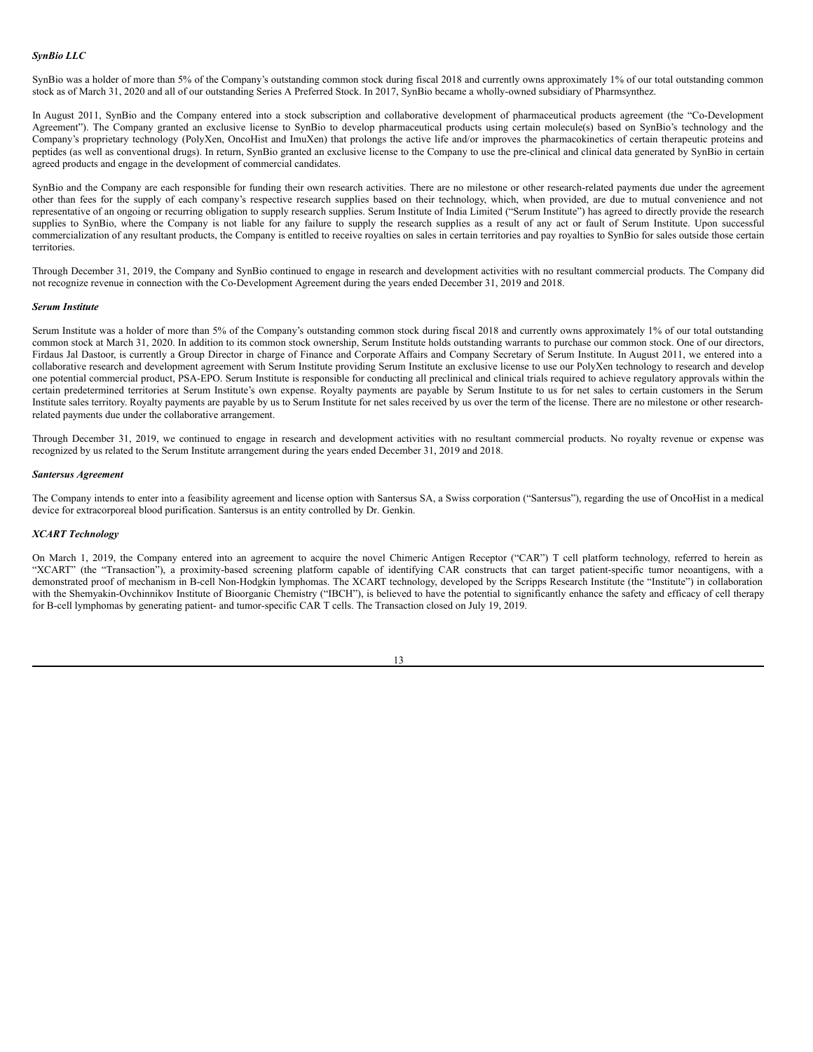#### *SynBio LLC*

SynBio was a holder of more than 5% of the Company's outstanding common stock during fiscal 2018 and currently owns approximately 1% of our total outstanding common stock as of March 31, 2020 and all of our outstanding Series A Preferred Stock. In 2017, SynBio became a wholly-owned subsidiary of Pharmsynthez.

In August 2011, SynBio and the Company entered into a stock subscription and collaborative development of pharmaceutical products agreement (the "Co-Development Agreement"). The Company granted an exclusive license to SynBio to develop pharmaceutical products using certain molecule(s) based on SynBio's technology and the Company's proprietary technology (PolyXen, OncoHist and ImuXen) that prolongs the active life and/or improves the pharmacokinetics of certain therapeutic proteins and peptides (as well as conventional drugs). In return, SynBio granted an exclusive license to the Company to use the pre-clinical and clinical data generated by SynBio in certain agreed products and engage in the development of commercial candidates.

SynBio and the Company are each responsible for funding their own research activities. There are no milestone or other research-related payments due under the agreement other than fees for the supply of each company's respective research supplies based on their technology, which, when provided, are due to mutual convenience and not representative of an ongoing or recurring obligation to supply research supplies. Serum Institute of India Limited ("Serum Institute") has agreed to directly provide the research supplies to SynBio, where the Company is not liable for any failure to supply the research supplies as a result of any act or fault of Serum Institute. Upon successful commercialization of any resultant products, the Company is entitled to receive royalties on sales in certain territories and pay royalties to SynBio for sales outside those certain territories.

Through December 31, 2019, the Company and SynBio continued to engage in research and development activities with no resultant commercial products. The Company did not recognize revenue in connection with the Co-Development Agreement during the years ended December 31, 2019 and 2018.

#### *Serum Institute*

Serum Institute was a holder of more than 5% of the Company's outstanding common stock during fiscal 2018 and currently owns approximately 1% of our total outstanding common stock at March 31, 2020. In addition to its common stock ownership, Serum Institute holds outstanding warrants to purchase our common stock. One of our directors, Firdaus Jal Dastoor, is currently a Group Director in charge of Finance and Corporate Affairs and Company Secretary of Serum Institute. In August 2011, we entered into a collaborative research and development agreement with Serum Institute providing Serum Institute an exclusive license to use our PolyXen technology to research and develop one potential commercial product, PSA-EPO. Serum Institute is responsible for conducting all preclinical and clinical trials required to achieve regulatory approvals within the certain predetermined territories at Serum Institute's own expense. Royalty payments are payable by Serum Institute to us for net sales to certain customers in the Serum Institute sales territory. Royalty payments are payable by us to Serum Institute for net sales received by us over the term of the license. There are no milestone or other researchrelated payments due under the collaborative arrangement.

Through December 31, 2019, we continued to engage in research and development activities with no resultant commercial products. No royalty revenue or expense was recognized by us related to the Serum Institute arrangement during the years ended December 31, 2019 and 2018.

#### *Santersus Agreement*

The Company intends to enter into a feasibility agreement and license option with Santersus SA, a Swiss corporation ("Santersus"), regarding the use of OncoHist in a medical device for extracorporeal blood purification. Santersus is an entity controlled by Dr. Genkin.

#### *XCART Technology*

On March 1, 2019, the Company entered into an agreement to acquire the novel Chimeric Antigen Receptor ("CAR") T cell platform technology, referred to herein as "XCART" (the "Transaction"), a proximity-based screening platform capable of identifying CAR constructs that can target patient-specific tumor neoantigens, with a demonstrated proof of mechanism in B-cell Non-Hodgkin lymphomas. The XCART technology, developed by the Scripps Research Institute (the "Institute") in collaboration with the Shemyakin-Ovchinnikov Institute of Bioorganic Chemistry ("IBCH"), is believed to have the potential to significantly enhance the safety and efficacy of cell therapy for B-cell lymphomas by generating patient- and tumor-specific CAR T cells. The Transaction closed on July 19, 2019.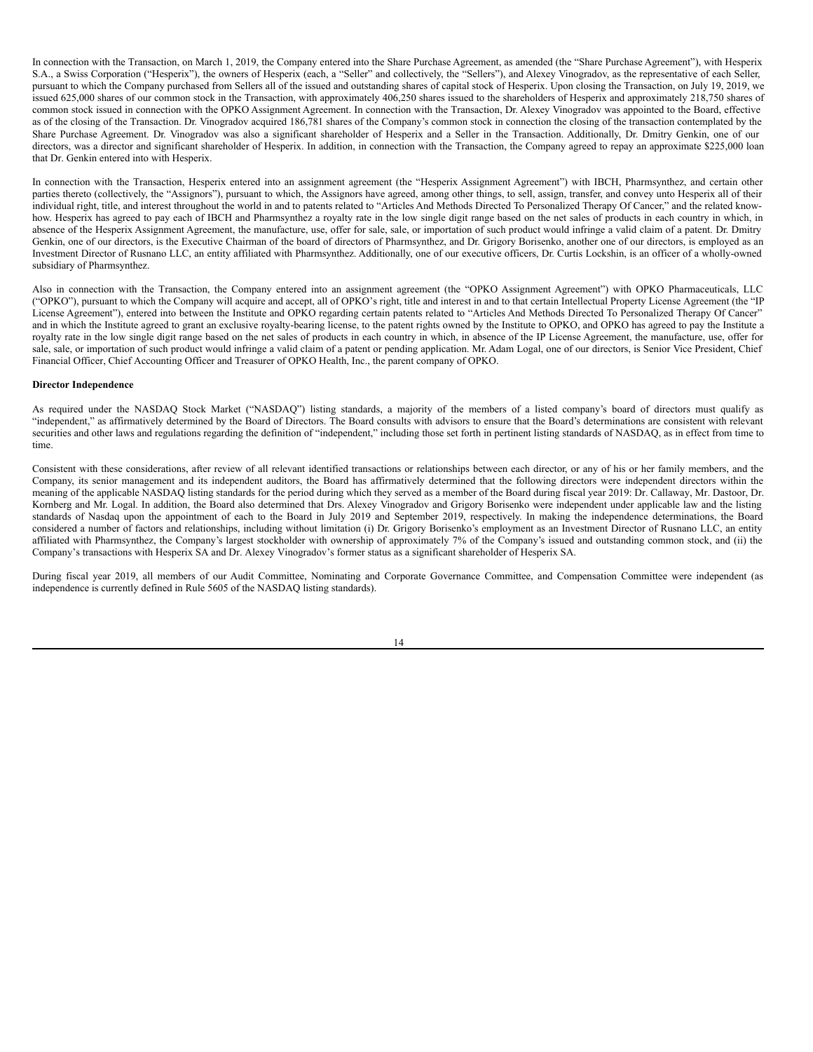In connection with the Transaction, on March 1, 2019, the Company entered into the Share Purchase Agreement, as amended (the "Share Purchase Agreement"), with Hesperix S.A., a Swiss Corporation ("Hesperix"), the owners of Hesperix (each, a "Seller" and collectively, the "Sellers"), and Alexey Vinogradov, as the representative of each Seller, pursuant to which the Company purchased from Sellers all of the issued and outstanding shares of capital stock of Hesperix. Upon closing the Transaction, on July 19, 2019, we issued 625,000 shares of our common stock in the Transaction, with approximately 406,250 shares issued to the shareholders of Hesperix and approximately 218,750 shares of common stock issued in connection with the OPKO Assignment Agreement. In connection with the Transaction, Dr. Alexey Vinogradov was appointed to the Board, effective as of the closing of the Transaction. Dr. Vinogradov acquired 186,781 shares of the Company's common stock in connection the closing of the transaction contemplated by the Share Purchase Agreement. Dr. Vinogradov was also a significant shareholder of Hesperix and a Seller in the Transaction. Additionally, Dr. Dmitry Genkin, one of our directors, was a director and significant shareholder of Hesperix. In addition, in connection with the Transaction, the Company agreed to repay an approximate \$225,000 loan that Dr. Genkin entered into with Hesperix.

In connection with the Transaction, Hesperix entered into an assignment agreement (the "Hesperix Assignment Agreement") with IBCH, Pharmsynthez, and certain other parties thereto (collectively, the "Assignors"), pursuant to which, the Assignors have agreed, among other things, to sell, assign, transfer, and convey unto Hesperix all of their individual right, title, and interest throughout the world in and to patents related to "Articles And Methods Directed To Personalized Therapy Of Cancer," and the related knowhow. Hesperix has agreed to pay each of IBCH and Pharmsynthez a royalty rate in the low single digit range based on the net sales of products in each country in which, in absence of the Hesperix Assignment Agreement, the manufacture, use, offer for sale, sale, or importation of such product would infringe a valid claim of a patent. Dr. Dmitry Genkin, one of our directors, is the Executive Chairman of the board of directors of Pharmsynthez, and Dr. Grigory Borisenko, another one of our directors, is employed as an Investment Director of Rusnano LLC, an entity affiliated with Pharmsynthez. Additionally, one of our executive officers, Dr. Curtis Lockshin, is an officer of a wholly-owned subsidiary of Pharmsynthez.

Also in connection with the Transaction, the Company entered into an assignment agreement (the "OPKO Assignment Agreement") with OPKO Pharmaceuticals, LLC ("OPKO"), pursuant to which the Company will acquire and accept, all of OPKO's right, title and interest in and to that certain Intellectual Property License Agreement (the "IP License Agreement"), entered into between the Institute and OPKO regarding certain patents related to "Articles And Methods Directed To Personalized Therapy Of Cancer" and in which the Institute agreed to grant an exclusive royalty-bearing license, to the patent rights owned by the Institute to OPKO, and OPKO has agreed to pay the Institute a royalty rate in the low single digit range based on the net sales of products in each country in which, in absence of the IP License Agreement, the manufacture, use, offer for sale, sale, or importation of such product would infringe a valid claim of a patent or pending application. Mr. Adam Logal, one of our directors, is Senior Vice President, Chief Financial Officer, Chief Accounting Officer and Treasurer of OPKO Health, Inc., the parent company of OPKO.

# **Director Independence**

As required under the NASDAQ Stock Market ("NASDAQ") listing standards, a majority of the members of a listed company's board of directors must qualify as "independent," as affirmatively determined by the Board of Directors. The Board consults with advisors to ensure that the Board's determinations are consistent with relevant securities and other laws and regulations regarding the definition of "independent," including those set forth in pertinent listing standards of NASDAQ, as in effect from time to time.

Consistent with these considerations, after review of all relevant identified transactions or relationships between each director, or any of his or her family members, and the Company, its senior management and its independent auditors, the Board has affirmatively determined that the following directors were independent directors within the meaning of the applicable NASDAQ listing standards for the period during which they served as a member of the Board during fiscal year 2019: Dr. Callaway, Mr. Dastoor, Dr. Kornberg and Mr. Logal. In addition, the Board also determined that Drs. Alexey Vinogradov and Grigory Borisenko were independent under applicable law and the listing standards of Nasdaq upon the appointment of each to the Board in July 2019 and September 2019, respectively. In making the independence determinations, the Board considered a number of factors and relationships, including without limitation (i) Dr. Grigory Borisenko's employment as an Investment Director of Rusnano LLC, an entity affiliated with Pharmsynthez, the Company's largest stockholder with ownership of approximately 7% of the Company's issued and outstanding common stock, and (ii) the Company's transactions with Hesperix SA and Dr. Alexey Vinogradov's former status as a significant shareholder of Hesperix SA.

During fiscal year 2019, all members of our Audit Committee, Nominating and Corporate Governance Committee, and Compensation Committee were independent (as independence is currently defined in Rule 5605 of the NASDAQ listing standards).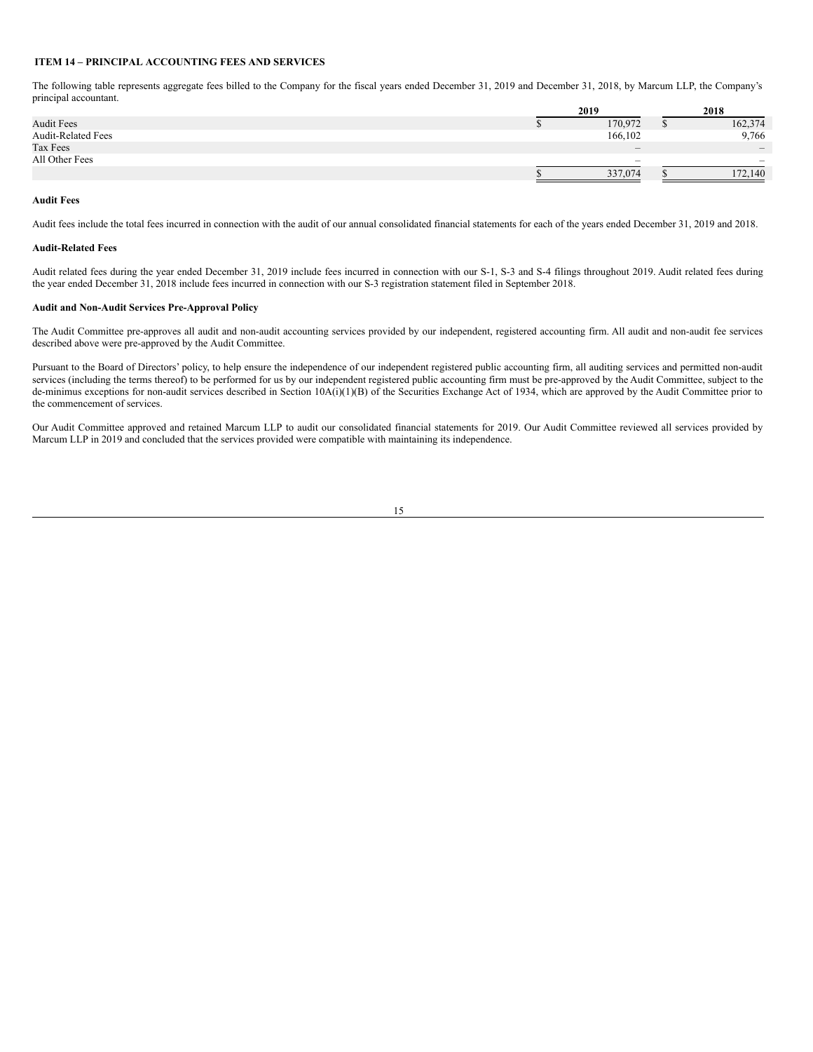# <span id="page-17-0"></span>**ITEM 14 – PRINCIPAL ACCOUNTING FEES AND SERVICES**

The following table represents aggregate fees billed to the Company for the fiscal years ended December 31, 2019 and December 31, 2018, by Marcum LLP, the Company's principal accountant.

|                           | 2019                                      | 2018                     |
|---------------------------|-------------------------------------------|--------------------------|
| <b>Audit Fees</b>         | 170,972                                   | 162,374                  |
| <b>Audit-Related Fees</b> | 166,102                                   | 9,766                    |
| Tax Fees                  | $\qquad \qquad \overline{\qquad \qquad }$ | $\qquad \qquad -$        |
| All Other Fees            | $\overline{\phantom{a}}$                  | $\overline{\phantom{a}}$ |
|                           | 337,074                                   | 172,140                  |

# **Audit Fees**

Audit fees include the total fees incurred in connection with the audit of our annual consolidated financial statements for each of the years ended December 31, 2019 and 2018.

#### **Audit-Related Fees**

Audit related fees during the year ended December 31, 2019 include fees incurred in connection with our S-1, S-3 and S-4 filings throughout 2019. Audit related fees during the year ended December 31, 2018 include fees incurred in connection with our S-3 registration statement filed in September 2018.

#### **Audit and Non-Audit Services Pre-Approval Policy**

The Audit Committee pre-approves all audit and non-audit accounting services provided by our independent, registered accounting firm. All audit and non-audit fee services described above were pre-approved by the Audit Committee.

Pursuant to the Board of Directors' policy, to help ensure the independence of our independent registered public accounting firm, all auditing services and permitted non-audit services (including the terms thereof) to be performed for us by our independent registered public accounting firm must be pre-approved by the Audit Committee, subject to the de-minimus exceptions for non-audit services described in Section 10A(i)(1)(B) of the Securities Exchange Act of 1934, which are approved by the Audit Committee prior to the commencement of services.

Our Audit Committee approved and retained Marcum LLP to audit our consolidated financial statements for 2019. Our Audit Committee reviewed all services provided by Marcum LLP in 2019 and concluded that the services provided were compatible with maintaining its independence.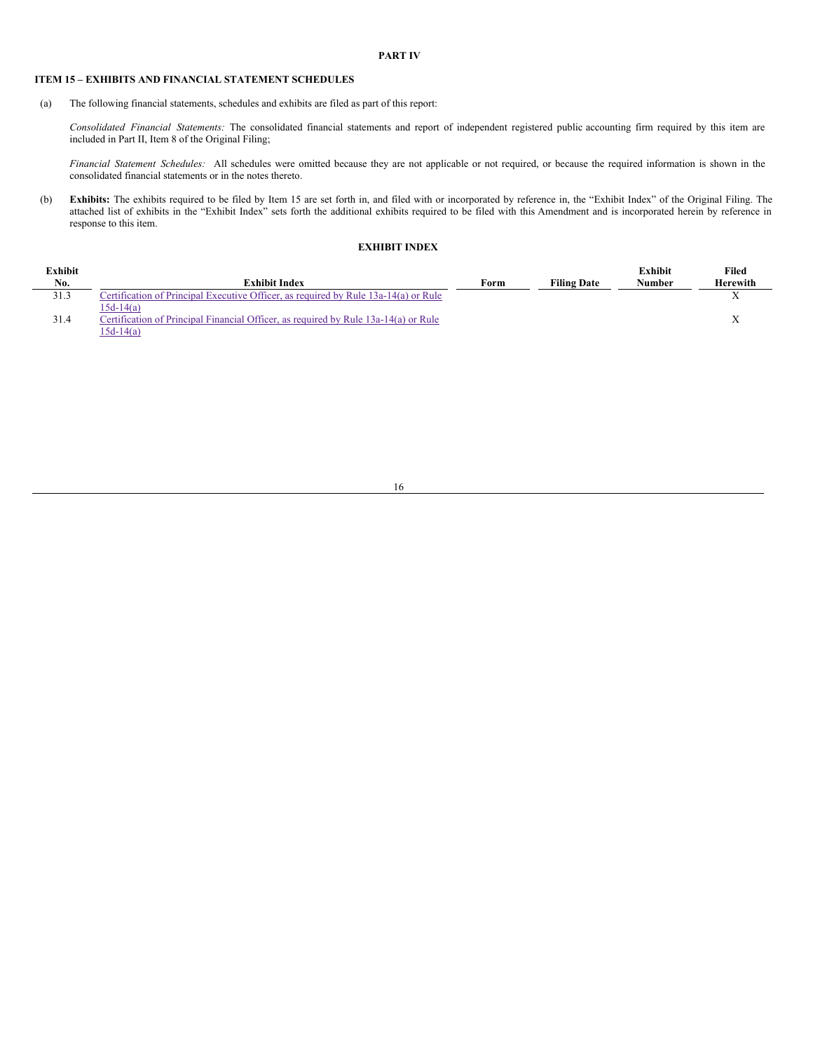<span id="page-18-0"></span>**PART IV**

# <span id="page-18-1"></span>**ITEM 15 – EXHIBITS AND FINANCIAL STATEMENT SCHEDULES**

(a) The following financial statements, schedules and exhibits are filed as part of this report:

*Consolidated Financial Statements:* The consolidated financial statements and report of independent registered public accounting firm required by this item are included in Part II, Item 8 of the Original Filing;

*Financial Statement Schedules:* All schedules were omitted because they are not applicable or not required, or because the required information is shown in the consolidated financial statements or in the notes thereto.

(b) **Exhibits:** The exhibits required to be filed by Item 15 are set forth in, and filed with or incorporated by reference in, the "Exhibit Index" of the Original Filing. The attached list of exhibits in the "Exhibit Index" sets forth the additional exhibits required to be filed with this Amendment and is incorporated herein by reference in response to this item.

# **EXHIBIT INDEX**

| Exhibit |                                                                                     |      |                    | <b>Exhibit</b> | Filed           |
|---------|-------------------------------------------------------------------------------------|------|--------------------|----------------|-----------------|
| No.     | <b>Exhibit Index</b>                                                                | Form | <b>Filing Date</b> | <b>Number</b>  | <b>Herewith</b> |
| 31.3    | Certification of Principal Executive Officer, as required by Rule 13a-14(a) or Rule |      |                    |                | ∡⊾              |
|         | 15d-14(a)                                                                           |      |                    |                |                 |
| 31.4    | Certification of Principal Financial Officer, as required by Rule 13a-14(a) or Rule |      |                    |                |                 |
|         | 15d-14(a)                                                                           |      |                    |                |                 |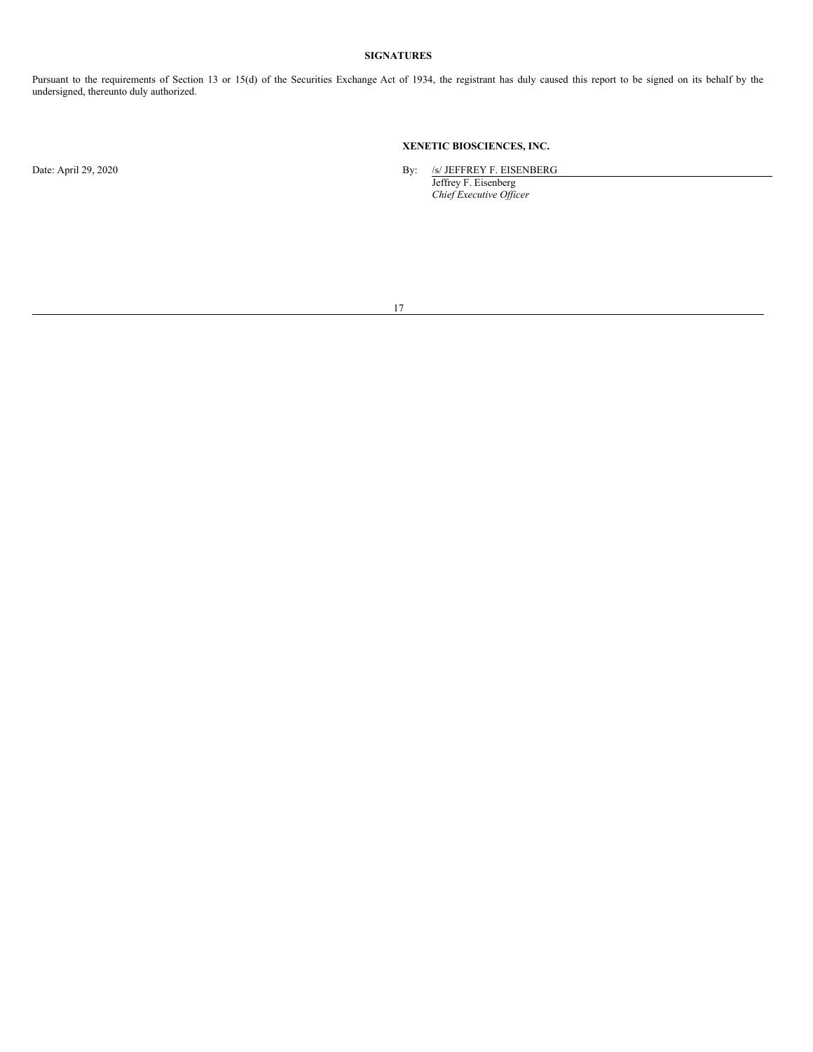# **SIGNATURES**

Pursuant to the requirements of Section 13 or 15(d) of the Securities Exchange Act of 1934, the registrant has duly caused this report to be signed on its behalf by the undersigned, thereunto duly authorized.

# **XENETIC BIOSCIENCES, INC.**

Date: April 29, 2020 By: /s/ JEFFREY F. EISENBERG

Jeffrey F. Eisenberg *Chief Executive Of icer*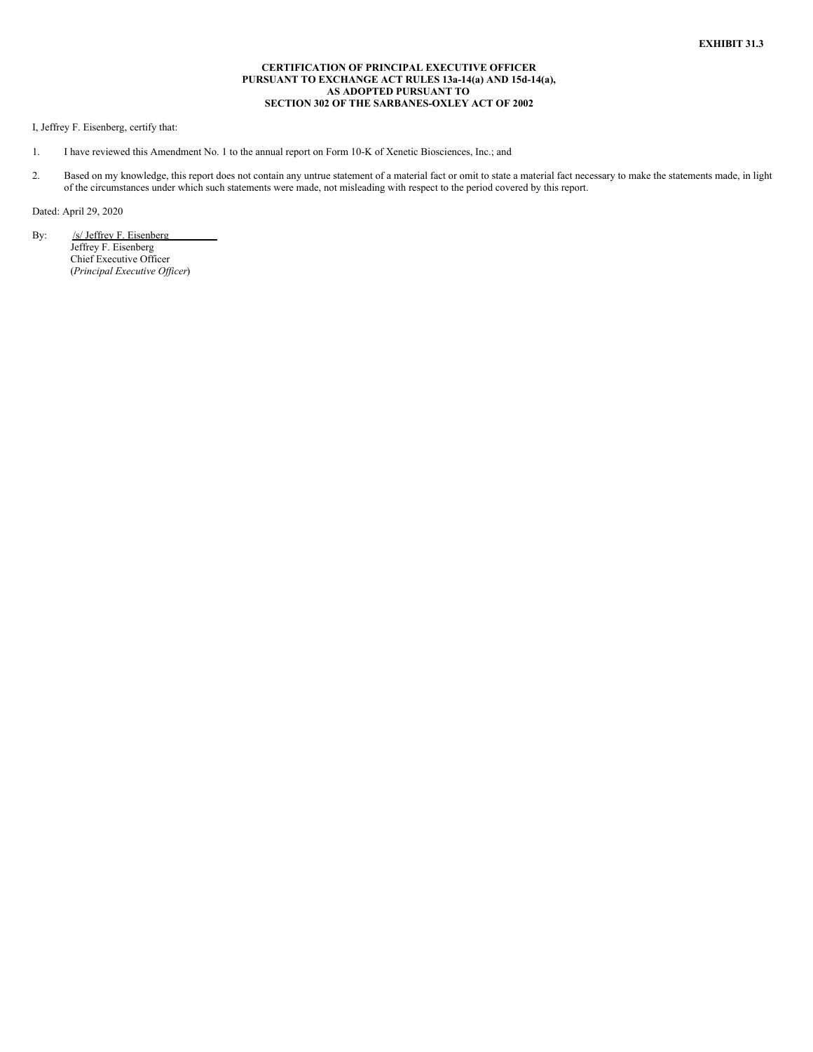# **CERTIFICATION OF PRINCIPAL EXECUTIVE OFFICER PURSUANT TO EXCHANGE ACT RULES 13a-14(a) AND 15d-14(a), AS ADOPTED PURSUANT TO SECTION 302 OF THE SARBANES-OXLEY ACT OF 2002**

<span id="page-20-0"></span>I, Jeffrey F. Eisenberg, certify that:

- 1. I have reviewed this Amendment No. 1 to the annual report on Form 10-K of Xenetic Biosciences, Inc.; and
- 2. Based on my knowledge, this report does not contain any untrue statement of a material fact or omit to state a material fact necessary to make the statements made, in light of the circumstances under which such statements were made, not misleading with respect to the period covered by this report.

Dated: April 29, 2020

By: /s/ Jeffrey F. Eisenberg Jeffrey F. Eisenberg Chief Executive Officer (*Principal Executive Of icer*)